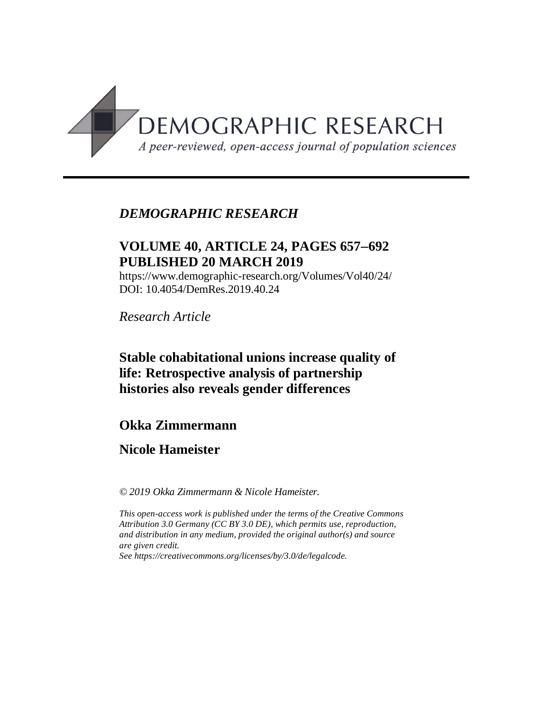

# *DEMOGRAPHIC RESEARCH*

## **VOLUME 40, ARTICLE 24, PAGES 657**-**692 PUBLISHED 20 MARCH 2019**

https://www.demographic-research.org/Volumes/Vol40/24/ DOI: 10.4054/DemRes.2019.40.24

*Research Article*

# **Stable cohabitational unions increase quality of life: Retrospective analysis of partnership histories also reveals gender differences**

### **Okka Zimmermann**

# **Nicole Hameister**

*© 2019 Okka Zimmermann & Nicole Hameister.*

*This open-access work is published under the terms of the Creative Commons Attribution 3.0 Germany (CC BY 3.0 DE), which permits use, reproduction, and distribution in any medium, provided the original author(s) and source are given credit.*

*See [https://creativecommons.org/licenses/by/3.0/de/legalcode.](https://creativecommons.org/licenses/by/3.0/de/legalcode)*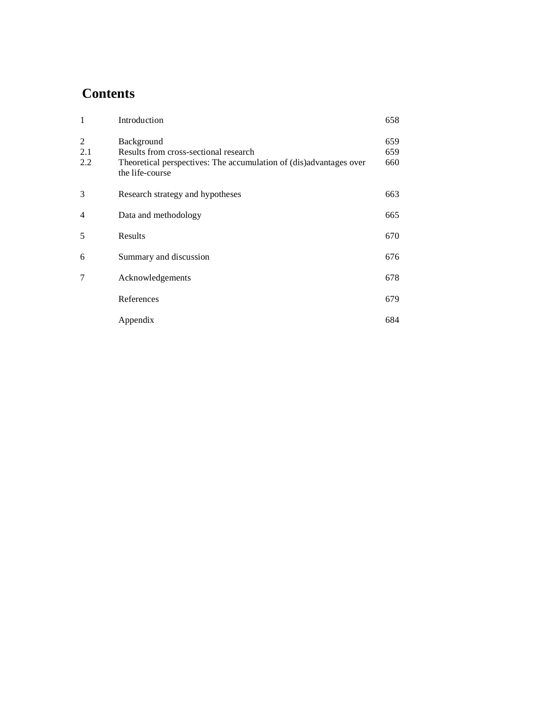# **Contents**

| $\mathbf{1}$    | Introduction                                                                                                                                 | 658               |
|-----------------|----------------------------------------------------------------------------------------------------------------------------------------------|-------------------|
| 2<br>2.1<br>2.2 | Background<br>Results from cross-sectional research<br>Theoretical perspectives: The accumulation of (dis)advantages over<br>the life-course | 659<br>659<br>660 |
| 3               | Research strategy and hypotheses                                                                                                             | 663               |
| $\overline{4}$  | Data and methodology                                                                                                                         | 665               |
| 5               | Results                                                                                                                                      | 670               |
| 6               | Summary and discussion                                                                                                                       | 676               |
| 7               | Acknowledgements                                                                                                                             | 678               |
|                 | References                                                                                                                                   | 679               |
|                 | Appendix                                                                                                                                     | 684               |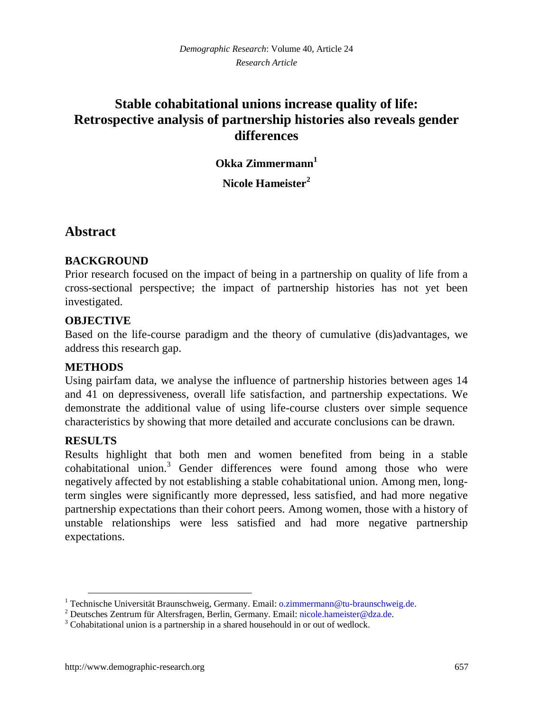# **Stable cohabitational unions increase quality of life: Retrospective analysis of partnership histories also reveals gender differences**

**Okka Zimmermann[1](#page-2-0)**

**Nicole Hameister[2](#page-2-1)**

### **Abstract**

### **BACKGROUND**

Prior research focused on the impact of being in a partnership on quality of life from a cross-sectional perspective; the impact of partnership histories has not yet been investigated.

#### **OBJECTIVE**

Based on the life-course paradigm and the theory of cumulative (dis)advantages, we address this research gap.

#### **METHODS**

Using pairfam data, we analyse the influence of partnership histories between ages 14 and 41 on depressiveness, overall life satisfaction, and partnership expectations. We demonstrate the additional value of using life-course clusters over simple sequence characteristics by showing that more detailed and accurate conclusions can be drawn.

#### **RESULTS**

Results highlight that both men and women benefited from being in a stable cohabitationalunion.<sup>3</sup> Gender differences were found among those who were negatively affected by not establishing a stable cohabitational union. Among men, longterm singles were significantly more depressed, less satisfied, and had more negative partnership expectations than their cohort peers. Among women, those with a history of unstable relationships were less satisfied and had more negative partnership expectations.

<span id="page-2-0"></span><sup>&</sup>lt;sup>1</sup> Technische Universität Braunschweig, Germany. Email: o.z[immermann@tu-braunschweig.de.](mailto:o.zimmermann@tu-braunschweig.de)

<span id="page-2-1"></span><sup>&</sup>lt;sup>2</sup> Deutsches Zentrum für Altersfragen, Berlin, Germany. Email: nic[ole.hameister@dza.de.](mailto:nicole.hameister@dza.de)

<span id="page-2-2"></span><sup>&</sup>lt;sup>3</sup> Cohabitational union is a partnership in a shared househould in or out of wedlock.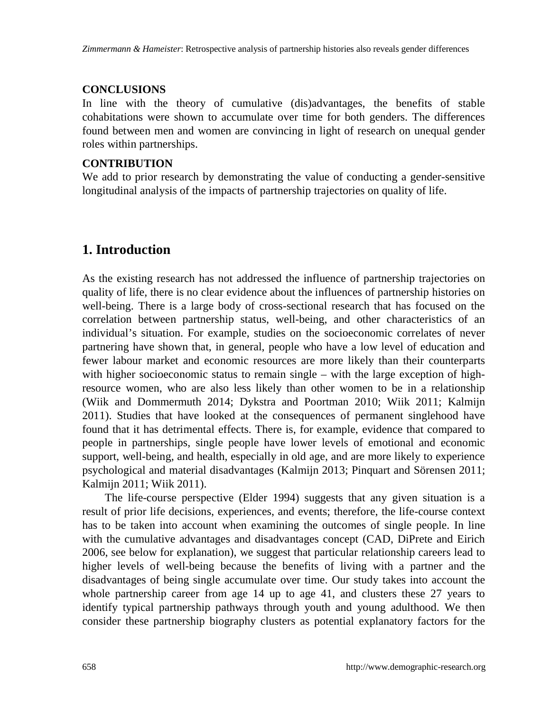#### **CONCLUSIONS**

In line with the theory of cumulative (dis)advantages, the benefits of stable cohabitations were shown to accumulate over time for both genders. The differences found between men and women are convincing in light of research on unequal gender roles within partnerships.

#### **CONTRIBUTION**

We add to prior research by demonstrating the value of conducting a gender-sensitive longitudinal analysis of the impacts of partnership trajectories on quality of life.

# **1. Introduction**

As the existing research has not addressed the influence of partnership trajectories on quality of life, there is no clear evidence about the influences of partnership histories on well-being. There is a large body of cross-sectional research that has focused on the correlation between partnership status, well-being, and other characteristics of an individual's situation. For example, studies on the socioeconomic correlates of never partnering have shown that, in general, people who have a low level of education and fewer labour market and economic resources are more likely than their counterparts with higher socioeconomic status to remain single – with the large exception of highresource women, who are also less likely than other women to be in a relationship (Wiik and Dommermuth 2014; Dykstra and Poortman 2010; Wiik 2011; Kalmijn 2011). Studies that have looked at the consequences of permanent singlehood have found that it has detrimental effects. There is, for example, evidence that compared to people in partnerships, single people have lower levels of emotional and economic support, well-being, and health, especially in old age, and are more likely to experience psychological and material disadvantages (Kalmijn 2013; Pinquart and Sörensen 2011; Kalmijn 2011; Wiik 2011).

The life-course perspective (Elder 1994) suggests that any given situation is a result of prior life decisions, experiences, and events; therefore, the life-course context has to be taken into account when examining the outcomes of single people. In line with the cumulative advantages and disadvantages concept (CAD, DiPrete and Eirich 2006, see below for explanation), we suggest that particular relationship careers lead to higher levels of well-being because the benefits of living with a partner and the disadvantages of being single accumulate over time. Our study takes into account the whole partnership career from age 14 up to age 41, and clusters these 27 years to identify typical partnership pathways through youth and young adulthood. We then consider these partnership biography clusters as potential explanatory factors for the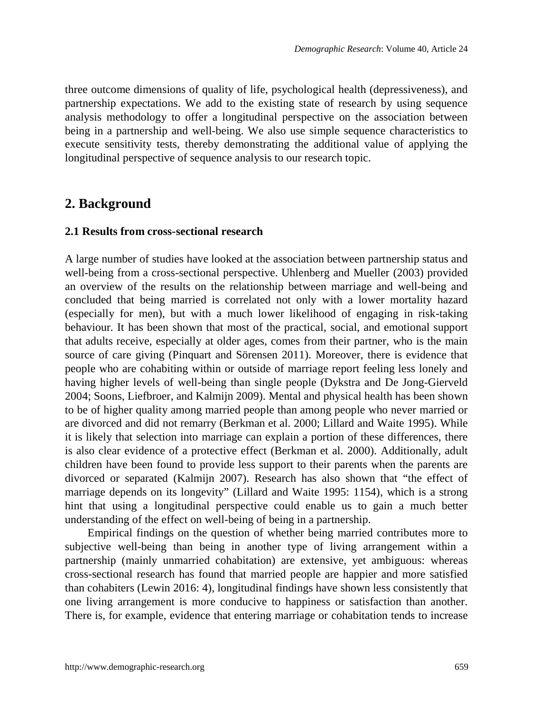three outcome dimensions of quality of life, psychological health (depressiveness), and partnership expectations. We add to the existing state of research by using sequence analysis methodology to offer a longitudinal perspective on the association between being in a partnership and well-being. We also use simple sequence characteristics to execute sensitivity tests, thereby demonstrating the additional value of applying the longitudinal perspective of sequence analysis to our research topic.

### **2. Background**

#### **2.1 Results from cross-sectional research**

A large number of studies have looked at the association between partnership status and well-being from a cross-sectional perspective. Uhlenberg and Mueller (2003) provided an overview of the results on the relationship between marriage and well-being and concluded that being married is correlated not only with a lower mortality hazard (especially for men), but with a much lower likelihood of engaging in risk-taking behaviour. It has been shown that most of the practical, social, and emotional support that adults receive, especially at older ages, comes from their partner, who is the main source of care giving (Pinquart and Sörensen 2011). Moreover, there is evidence that people who are cohabiting within or outside of marriage report feeling less lonely and having higher levels of well-being than single people (Dykstra and De Jong-Gierveld 2004; Soons, Liefbroer, and Kalmijn 2009). Mental and physical health has been shown to be of higher quality among married people than among people who never married or are divorced and did not remarry (Berkman et al. 2000; Lillard and Waite 1995). While it is likely that selection into marriage can explain a portion of these differences, there is also clear evidence of a protective effect (Berkman et al. 2000). Additionally, adult children have been found to provide less support to their parents when the parents are divorced or separated (Kalmijn 2007). Research has also shown that "the effect of marriage depends on its longevity" (Lillard and Waite 1995: 1154), which is a strong hint that using a longitudinal perspective could enable us to gain a much better understanding of the effect on well-being of being in a partnership.

Empirical findings on the question of whether being married contributes more to subjective well-being than being in another type of living arrangement within a partnership (mainly unmarried cohabitation) are extensive, yet ambiguous: whereas cross-sectional research has found that married people are happier and more satisfied than cohabiters (Lewin 2016: 4), longitudinal findings have shown less consistently that one living arrangement is more conducive to happiness or satisfaction than another. There is, for example, evidence that entering marriage or cohabitation tends to increase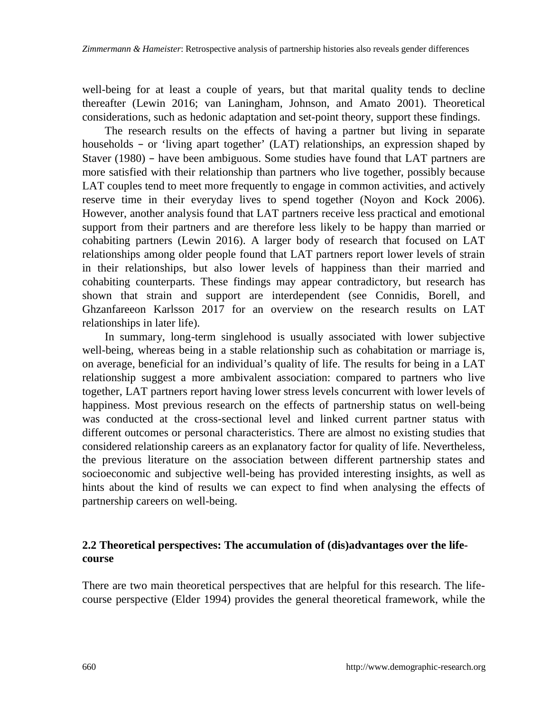well-being for at least a couple of years, but that marital quality tends to decline thereafter (Lewin 2016; van Laningham, Johnson, and Amato 2001). Theoretical considerations, such as hedonic adaptation and set-point theory, support these findings.

The research results on the effects of having a partner but living in separate households – or 'living apart together' (LAT) relationships, an expression shaped by Staver (1980) – have been ambiguous. Some studies have found that LAT partners are more satisfied with their relationship than partners who live together, possibly because LAT couples tend to meet more frequently to engage in common activities, and actively reserve time in their everyday lives to spend together (Noyon and Kock 2006). However, another analysis found that LAT partners receive less practical and emotional support from their partners and are therefore less likely to be happy than married or cohabiting partners (Lewin 2016). A larger body of research that focused on LAT relationships among older people found that LAT partners report lower levels of strain in their relationships, but also lower levels of happiness than their married and cohabiting counterparts. These findings may appear contradictory, but research has shown that strain and support are interdependent (see Connidis, Borell, and Ghzanfareeon Karlsson 2017 for an overview on the research results on LAT relationships in later life).

In summary, long-term singlehood is usually associated with lower subjective well-being, whereas being in a stable relationship such as cohabitation or marriage is, on average, beneficial for an individual's quality of life. The results for being in a LAT relationship suggest a more ambivalent association: compared to partners who live together, LAT partners report having lower stress levels concurrent with lower levels of happiness. Most previous research on the effects of partnership status on well-being was conducted at the cross-sectional level and linked current partner status with different outcomes or personal characteristics. There are almost no existing studies that considered relationship careers as an explanatory factor for quality of life. Nevertheless, the previous literature on the association between different partnership states and socioeconomic and subjective well-being has provided interesting insights, as well as hints about the kind of results we can expect to find when analysing the effects of partnership careers on well-being.

#### **2.2 Theoretical perspectives: The accumulation of (dis)advantages over the lifecourse**

There are two main theoretical perspectives that are helpful for this research. The lifecourse perspective (Elder 1994) provides the general theoretical framework, while the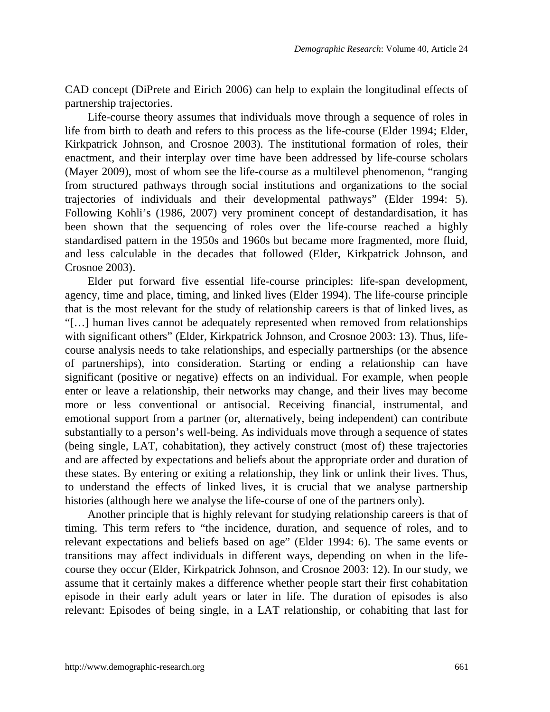CAD concept (DiPrete and Eirich 2006) can help to explain the longitudinal effects of partnership trajectories.

Life-course theory assumes that individuals move through a sequence of roles in life from birth to death and refers to this process as the life-course (Elder 1994; Elder, Kirkpatrick Johnson, and Crosnoe 2003). The institutional formation of roles, their enactment, and their interplay over time have been addressed by life-course scholars (Mayer 2009), most of whom see the life-course as a multilevel phenomenon, "ranging from structured pathways through social institutions and organizations to the social trajectories of individuals and their developmental pathways" (Elder 1994: 5). Following Kohli's (1986, 2007) very prominent concept of destandardisation, it has been shown that the sequencing of roles over the life-course reached a highly standardised pattern in the 1950s and 1960s but became more fragmented, more fluid, and less calculable in the decades that followed (Elder, Kirkpatrick Johnson, and Crosnoe 2003).

Elder put forward five essential life-course principles: life-span development, agency, time and place, timing, and linked lives (Elder 1994). The life-course principle that is the most relevant for the study of relationship careers is that of linked lives, as "[…] human lives cannot be adequately represented when removed from relationships with significant others" (Elder, Kirkpatrick Johnson, and Crosnoe 2003: 13). Thus, lifecourse analysis needs to take relationships, and especially partnerships (or the absence of partnerships), into consideration. Starting or ending a relationship can have significant (positive or negative) effects on an individual. For example, when people enter or leave a relationship, their networks may change, and their lives may become more or less conventional or antisocial. Receiving financial, instrumental, and emotional support from a partner (or, alternatively, being independent) can contribute substantially to a person's well-being. As individuals move through a sequence of states (being single, LAT, cohabitation), they actively construct (most of) these trajectories and are affected by expectations and beliefs about the appropriate order and duration of these states. By entering or exiting a relationship, they link or unlink their lives. Thus, to understand the effects of linked lives, it is crucial that we analyse partnership histories (although here we analyse the life-course of one of the partners only).

Another principle that is highly relevant for studying relationship careers is that of timing. This term refers to "the incidence, duration, and sequence of roles, and to relevant expectations and beliefs based on age" (Elder 1994: 6). The same events or transitions may affect individuals in different ways, depending on when in the lifecourse they occur (Elder, Kirkpatrick Johnson, and Crosnoe 2003: 12). In our study, we assume that it certainly makes a difference whether people start their first cohabitation episode in their early adult years or later in life. The duration of episodes is also relevant: Episodes of being single, in a LAT relationship, or cohabiting that last for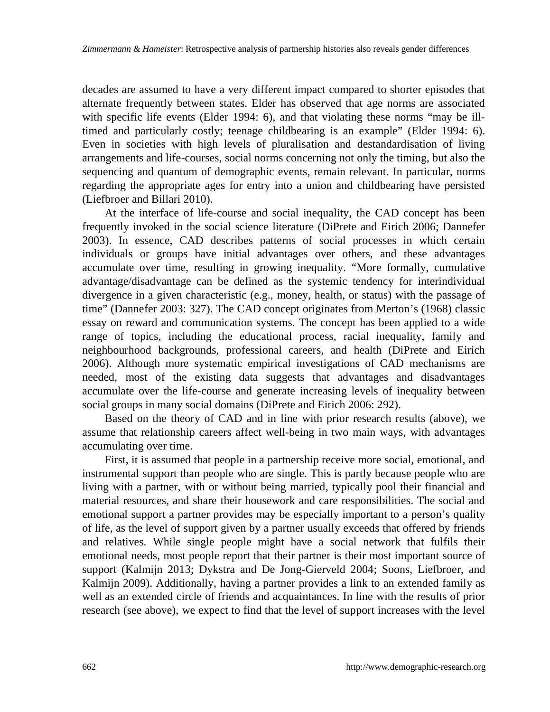decades are assumed to have a very different impact compared to shorter episodes that alternate frequently between states. Elder has observed that age norms are associated with specific life events (Elder 1994: 6), and that violating these norms "may be illtimed and particularly costly; teenage childbearing is an example" (Elder 1994: 6). Even in societies with high levels of pluralisation and destandardisation of living arrangements and life-courses, social norms concerning not only the timing, but also the sequencing and quantum of demographic events, remain relevant. In particular, norms regarding the appropriate ages for entry into a union and childbearing have persisted (Liefbroer and Billari 2010).

At the interface of life-course and social inequality, the CAD concept has been frequently invoked in the social science literature (DiPrete and Eirich 2006; Dannefer 2003). In essence, CAD describes patterns of social processes in which certain individuals or groups have initial advantages over others, and these advantages accumulate over time, resulting in growing inequality. "More formally, cumulative advantage/disadvantage can be defined as the systemic tendency for interindividual divergence in a given characteristic (e.g., money, health, or status) with the passage of time" (Dannefer 2003: 327). The CAD concept originates from Merton's (1968) classic essay on reward and communication systems. The concept has been applied to a wide range of topics, including the educational process, racial inequality, family and neighbourhood backgrounds, professional careers, and health (DiPrete and Eirich 2006). Although more systematic empirical investigations of CAD mechanisms are needed, most of the existing data suggests that advantages and disadvantages accumulate over the life-course and generate increasing levels of inequality between social groups in many social domains (DiPrete and Eirich 2006: 292).

Based on the theory of CAD and in line with prior research results (above), we assume that relationship careers affect well-being in two main ways, with advantages accumulating over time.

First, it is assumed that people in a partnership receive more social, emotional, and instrumental support than people who are single. This is partly because people who are living with a partner, with or without being married, typically pool their financial and material resources, and share their housework and care responsibilities. The social and emotional support a partner provides may be especially important to a person's quality of life, as the level of support given by a partner usually exceeds that offered by friends and relatives. While single people might have a social network that fulfils their emotional needs, most people report that their partner is their most important source of support (Kalmijn 2013; Dykstra and De Jong-Gierveld 2004; Soons, Liefbroer, and Kalmijn 2009). Additionally, having a partner provides a link to an extended family as well as an extended circle of friends and acquaintances. In line with the results of prior research (see above), we expect to find that the level of support increases with the level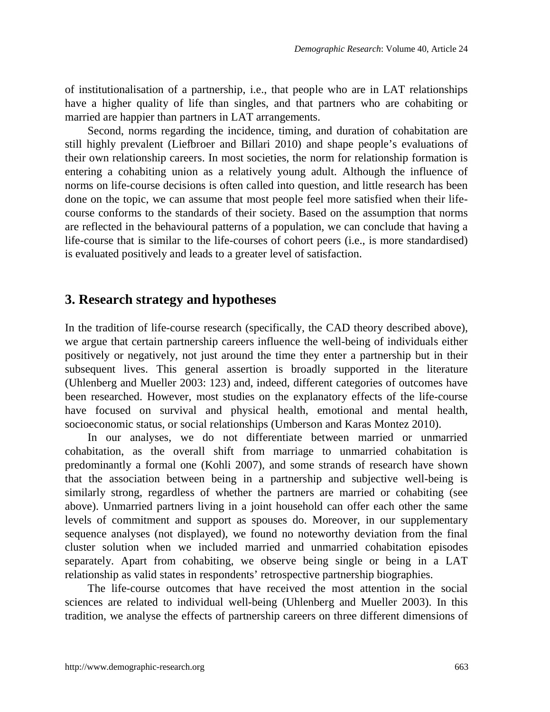of institutionalisation of a partnership, i.e., that people who are in LAT relationships have a higher quality of life than singles, and that partners who are cohabiting or married are happier than partners in LAT arrangements.

Second, norms regarding the incidence, timing, and duration of cohabitation are still highly prevalent (Liefbroer and Billari 2010) and shape people's evaluations of their own relationship careers. In most societies, the norm for relationship formation is entering a cohabiting union as a relatively young adult. Although the influence of norms on life-course decisions is often called into question, and little research has been done on the topic, we can assume that most people feel more satisfied when their lifecourse conforms to the standards of their society. Based on the assumption that norms are reflected in the behavioural patterns of a population, we can conclude that having a life-course that is similar to the life-courses of cohort peers (i.e., is more standardised) is evaluated positively and leads to a greater level of satisfaction.

### **3. Research strategy and hypotheses**

In the tradition of life-course research (specifically, the CAD theory described above), we argue that certain partnership careers influence the well-being of individuals either positively or negatively, not just around the time they enter a partnership but in their subsequent lives. This general assertion is broadly supported in the literature (Uhlenberg and Mueller 2003: 123) and, indeed, different categories of outcomes have been researched. However, most studies on the explanatory effects of the life-course have focused on survival and physical health, emotional and mental health, socioeconomic status, or social relationships (Umberson and Karas Montez 2010).

In our analyses, we do not differentiate between married or unmarried cohabitation, as the overall shift from marriage to unmarried cohabitation is predominantly a formal one (Kohli 2007), and some strands of research have shown that the association between being in a partnership and subjective well-being is similarly strong, regardless of whether the partners are married or cohabiting (see above). Unmarried partners living in a joint household can offer each other the same levels of commitment and support as spouses do. Moreover, in our supplementary sequence analyses (not displayed), we found no noteworthy deviation from the final cluster solution when we included married and unmarried cohabitation episodes separately. Apart from cohabiting, we observe being single or being in a LAT relationship as valid states in respondents' retrospective partnership biographies.

The life-course outcomes that have received the most attention in the social sciences are related to individual well-being (Uhlenberg and Mueller 2003). In this tradition, we analyse the effects of partnership careers on three different dimensions of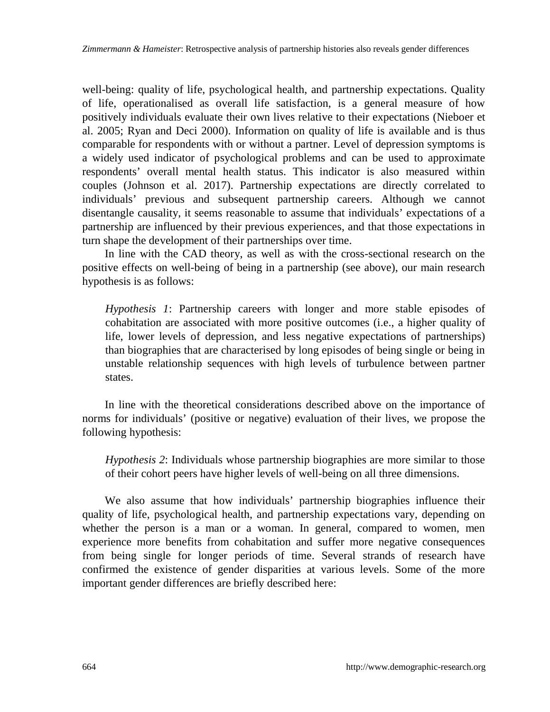well-being: quality of life, psychological health, and partnership expectations. Quality of life, operationalised as overall life satisfaction, is a general measure of how positively individuals evaluate their own lives relative to their expectations (Nieboer et al. 2005; Ryan and Deci 2000). Information on quality of life is available and is thus comparable for respondents with or without a partner. Level of depression symptoms is a widely used indicator of psychological problems and can be used to approximate respondents' overall mental health status. This indicator is also measured within couples (Johnson et al. 2017). Partnership expectations are directly correlated to individuals' previous and subsequent partnership careers. Although we cannot disentangle causality, it seems reasonable to assume that individuals' expectations of a partnership are influenced by their previous experiences, and that those expectations in turn shape the development of their partnerships over time.

In line with the CAD theory, as well as with the cross-sectional research on the positive effects on well-being of being in a partnership (see above), our main research hypothesis is as follows:

*Hypothesis 1*: Partnership careers with longer and more stable episodes of cohabitation are associated with more positive outcomes (i.e., a higher quality of life, lower levels of depression, and less negative expectations of partnerships) than biographies that are characterised by long episodes of being single or being in unstable relationship sequences with high levels of turbulence between partner states.

In line with the theoretical considerations described above on the importance of norms for individuals' (positive or negative) evaluation of their lives, we propose the following hypothesis:

*Hypothesis 2*: Individuals whose partnership biographies are more similar to those of their cohort peers have higher levels of well-being on all three dimensions.

We also assume that how individuals' partnership biographies influence their quality of life, psychological health, and partnership expectations vary, depending on whether the person is a man or a woman. In general, compared to women, men experience more benefits from cohabitation and suffer more negative consequences from being single for longer periods of time. Several strands of research have confirmed the existence of gender disparities at various levels. Some of the more important gender differences are briefly described here: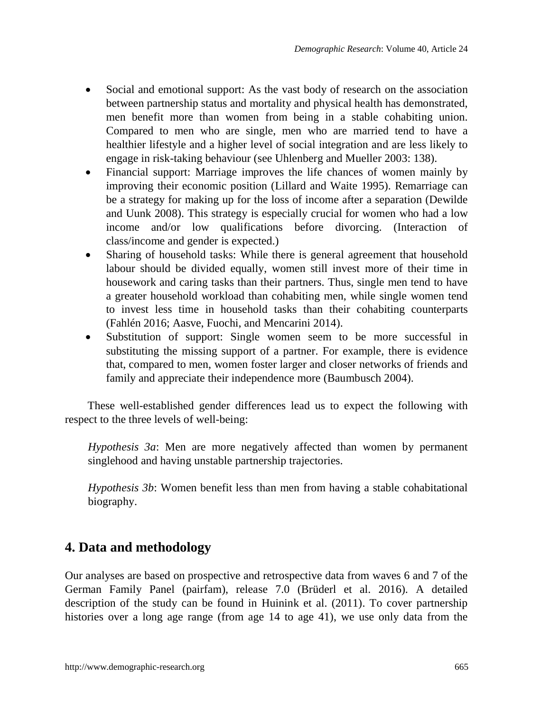- Social and emotional support: As the vast body of research on the association between partnership status and mortality and physical health has demonstrated, men benefit more than women from being in a stable cohabiting union. Compared to men who are single, men who are married tend to have a healthier lifestyle and a higher level of social integration and are less likely to engage in risk-taking behaviour (see Uhlenberg and Mueller 2003: 138).
- Financial support: Marriage improves the life chances of women mainly by improving their economic position (Lillard and Waite 1995). Remarriage can be a strategy for making up for the loss of income after a separation (Dewilde and Uunk 2008). This strategy is especially crucial for women who had a low income and/or low qualifications before divorcing. (Interaction of class/income and gender is expected.)
- Sharing of household tasks: While there is general agreement that household labour should be divided equally, women still invest more of their time in housework and caring tasks than their partners. Thus, single men tend to have a greater household workload than cohabiting men, while single women tend to invest less time in household tasks than their cohabiting counterparts (Fahlén 2016; Aasve, Fuochi, and Mencarini 2014).
- Substitution of support: Single women seem to be more successful in substituting the missing support of a partner. For example, there is evidence that, compared to men, women foster larger and closer networks of friends and family and appreciate their independence more (Baumbusch 2004).

These well-established gender differences lead us to expect the following with respect to the three levels of well-being:

*Hypothesis 3a*: Men are more negatively affected than women by permanent singlehood and having unstable partnership trajectories.

*Hypothesis 3b*: Women benefit less than men from having a stable cohabitational biography.

# **4. Data and methodology**

Our analyses are based on prospective and retrospective data from waves 6 and 7 of the German Family Panel (pairfam), release 7.0 (Brüderl et al. 2016). A detailed description of the study can be found in Huinink et al. (2011). To cover partnership histories over a long age range (from age 14 to age 41), we use only data from the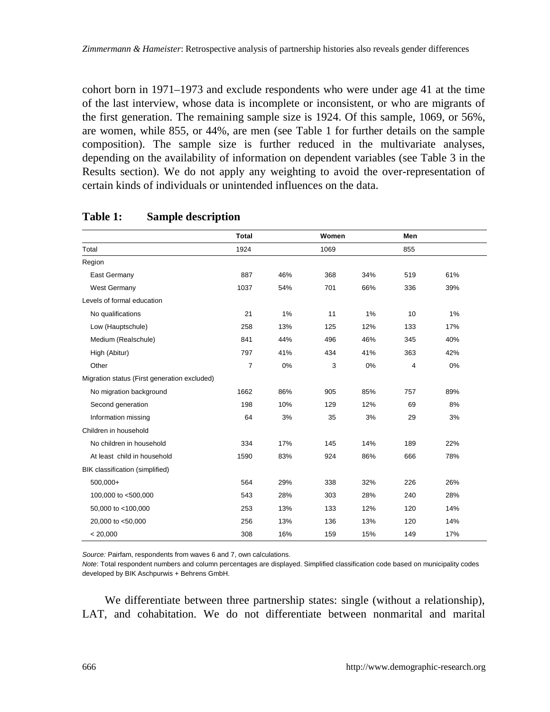cohort born in 1971–1973 and exclude respondents who were under age 41 at the time of the last interview, whose data is incomplete or inconsistent, or who are migrants of the first generation. The remaining sample size is 1924. Of this sample, 1069, or 56%, are women, while 855, or 44%, are men (see Table 1 for further details on the sample composition). The sample size is further reduced in the multivariate analyses, depending on the availability of information on dependent variables (see Table 3 in the Results section). We do not apply any weighting to avoid the over-representation of certain kinds of individuals or unintended influences on the data.

|                                              | Total          |     | Women |     | Men |     |
|----------------------------------------------|----------------|-----|-------|-----|-----|-----|
| Total                                        | 1924           |     | 1069  |     | 855 |     |
| Region                                       |                |     |       |     |     |     |
| East Germany                                 | 887            | 46% | 368   | 34% | 519 | 61% |
| West Germany                                 | 1037           | 54% | 701   | 66% | 336 | 39% |
| Levels of formal education                   |                |     |       |     |     |     |
| No qualifications                            | 21             | 1%  | 11    | 1%  | 10  | 1%  |
| Low (Hauptschule)                            | 258            | 13% | 125   | 12% | 133 | 17% |
| Medium (Realschule)                          | 841            | 44% | 496   | 46% | 345 | 40% |
| High (Abitur)                                | 797            | 41% | 434   | 41% | 363 | 42% |
| Other                                        | $\overline{7}$ | 0%  | 3     | 0%  | 4   | 0%  |
| Migration status (First generation excluded) |                |     |       |     |     |     |
| No migration background                      | 1662           | 86% | 905   | 85% | 757 | 89% |
| Second generation                            | 198            | 10% | 129   | 12% | 69  | 8%  |
| Information missing                          | 64             | 3%  | 35    | 3%  | 29  | 3%  |
| Children in household                        |                |     |       |     |     |     |
| No children in household                     | 334            | 17% | 145   | 14% | 189 | 22% |
| At least child in household                  | 1590           | 83% | 924   | 86% | 666 | 78% |
| BIK classification (simplified)              |                |     |       |     |     |     |
| 500.000+                                     | 564            | 29% | 338   | 32% | 226 | 26% |
| 100,000 to <500,000                          | 543            | 28% | 303   | 28% | 240 | 28% |
| 50,000 to <100,000                           | 253            | 13% | 133   | 12% | 120 | 14% |
| 20,000 to <50,000                            | 256            | 13% | 136   | 13% | 120 | 14% |
| < 20,000                                     | 308            | 16% | 159   | 15% | 149 | 17% |

#### **Table 1: Sample description**

*Source:* Pairfam, respondents from waves 6 and 7, own calculations.

*Note*: Total respondent numbers and column percentages are displayed. Simplified classification code based on municipality codes developed by BIK Aschpurwis + Behrens GmbH.

We differentiate between three partnership states: single (without a relationship), LAT, and cohabitation. We do not differentiate between nonmarital and marital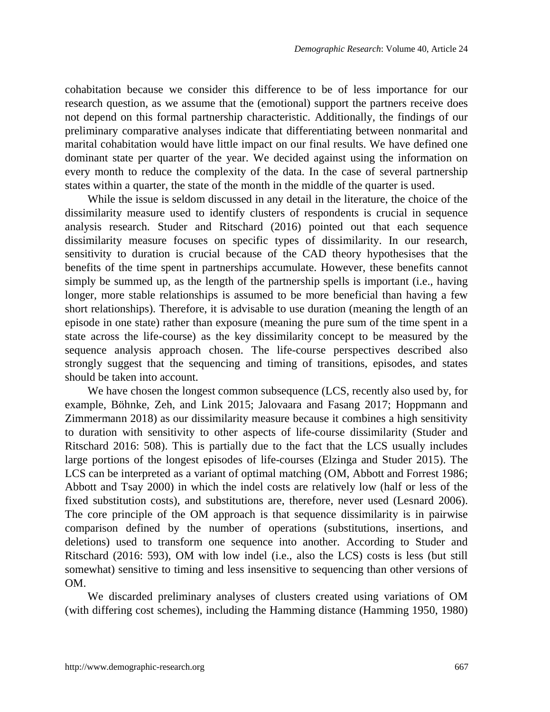cohabitation because we consider this difference to be of less importance for our research question, as we assume that the (emotional) support the partners receive does not depend on this formal partnership characteristic. Additionally, the findings of our preliminary comparative analyses indicate that differentiating between nonmarital and marital cohabitation would have little impact on our final results. We have defined one dominant state per quarter of the year. We decided against using the information on every month to reduce the complexity of the data. In the case of several partnership states within a quarter, the state of the month in the middle of the quarter is used.

While the issue is seldom discussed in any detail in the literature, the choice of the dissimilarity measure used to identify clusters of respondents is crucial in sequence analysis research. Studer and Ritschard (2016) pointed out that each sequence dissimilarity measure focuses on specific types of dissimilarity. In our research, sensitivity to duration is crucial because of the CAD theory hypothesises that the benefits of the time spent in partnerships accumulate. However, these benefits cannot simply be summed up, as the length of the partnership spells is important (i.e., having longer, more stable relationships is assumed to be more beneficial than having a few short relationships). Therefore, it is advisable to use duration (meaning the length of an episode in one state) rather than exposure (meaning the pure sum of the time spent in a state across the life-course) as the key dissimilarity concept to be measured by the sequence analysis approach chosen. The life-course perspectives described also strongly suggest that the sequencing and timing of transitions, episodes, and states should be taken into account.

We have chosen the longest common subsequence (LCS, recently also used by, for example, Böhnke, Zeh, and Link 2015; Jalovaara and Fasang 2017; Hoppmann and Zimmermann 2018) as our dissimilarity measure because it combines a high sensitivity to duration with sensitivity to other aspects of life-course dissimilarity (Studer and Ritschard 2016: 508). This is partially due to the fact that the LCS usually includes large portions of the longest episodes of life-courses (Elzinga and Studer 2015). The LCS can be interpreted as a variant of optimal matching (OM, Abbott and Forrest 1986; Abbott and Tsay 2000) in which the indel costs are relatively low (half or less of the fixed substitution costs), and substitutions are, therefore, never used (Lesnard 2006). The core principle of the OM approach is that sequence dissimilarity is in pairwise comparison defined by the number of operations (substitutions, insertions, and deletions) used to transform one sequence into another. According to Studer and Ritschard (2016: 593), OM with low indel (i.e., also the LCS) costs is less (but still somewhat) sensitive to timing and less insensitive to sequencing than other versions of OM.

We discarded preliminary analyses of clusters created using variations of OM (with differing cost schemes), including the Hamming distance (Hamming 1950, 1980)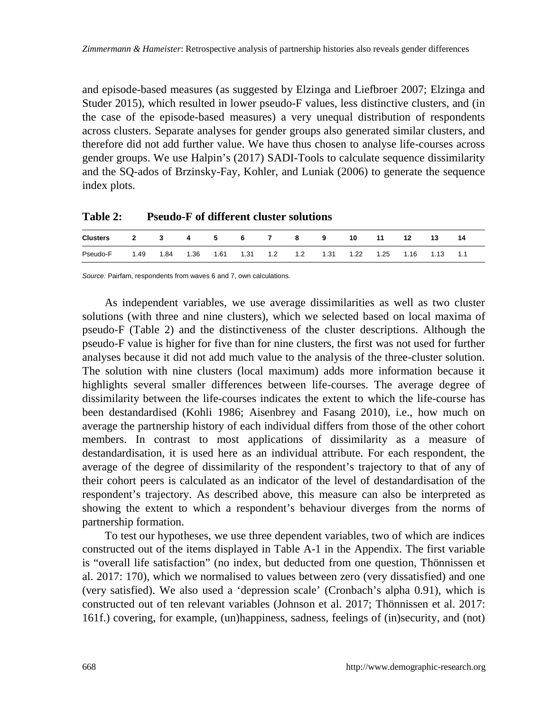and episode-based measures (as suggested by Elzinga and Liefbroer 2007; Elzinga and Studer 2015), which resulted in lower pseudo-F values, less distinctive clusters, and (in the case of the episode-based measures) a very unequal distribution of respondents across clusters. Separate analyses for gender groups also generated similar clusters, and therefore did not add further value. We have thus chosen to analyse life-courses across gender groups. We use Halpin's (2017) SADI-Tools to calculate sequence dissimilarity and the SQ-ados of Brzinsky-Fay, Kohler, and Luniak (2006) to generate the sequence index plots.

| Table 2: | <b>Pseudo-F of different cluster solutions</b> |
|----------|------------------------------------------------|
|          |                                                |

| <b>Clusters</b> | $\mathbf{2}$ |      | 4    | - 5  | - 6  |     | 8   | 9    | 10   | 11   |      | 13   | 14  |
|-----------------|--------------|------|------|------|------|-----|-----|------|------|------|------|------|-----|
| Pseudo-F        | 1.49         | 1.84 | 1.36 | 1.61 | 1.31 | 1.2 | 1.2 | 1.31 | 1.22 | 1.25 | 1.16 | 1.13 | 1.1 |

*Source:* Pairfam, respondents from waves 6 and 7, own calculations.

As independent variables, we use average dissimilarities as well as two cluster solutions (with three and nine clusters), which we selected based on local maxima of pseudo-F (Table 2) and the distinctiveness of the cluster descriptions. Although the pseudo-F value is higher for five than for nine clusters, the first was not used for further analyses because it did not add much value to the analysis of the three-cluster solution. The solution with nine clusters (local maximum) adds more information because it highlights several smaller differences between life-courses. The average degree of dissimilarity between the life-courses indicates the extent to which the life-course has been destandardised (Kohli 1986; Aisenbrey and Fasang 2010), i.e., how much on average the partnership history of each individual differs from those of the other cohort members. In contrast to most applications of dissimilarity as a measure of destandardisation, it is used here as an individual attribute. For each respondent, the average of the degree of dissimilarity of the respondent's trajectory to that of any of their cohort peers is calculated as an indicator of the level of destandardisation of the respondent's trajectory. As described above, this measure can also be interpreted as showing the extent to which a respondent's behaviour diverges from the norms of partnership formation.

To test our hypotheses, we use three dependent variables, two of which are indices constructed out of the items displayed in Table A-1 in the Appendix. The first variable is "overall life satisfaction" (no index, but deducted from one question, Thönnissen et al. 2017: 170), which we normalised to values between zero (very dissatisfied) and one (very satisfied). We also used a 'depression scale' (Cronbach's alpha 0.91), which is constructed out of ten relevant variables (Johnson et al. 2017; Thönnissen et al. 2017: 161f.) covering, for example, (un)happiness, sadness, feelings of (in)security, and (not)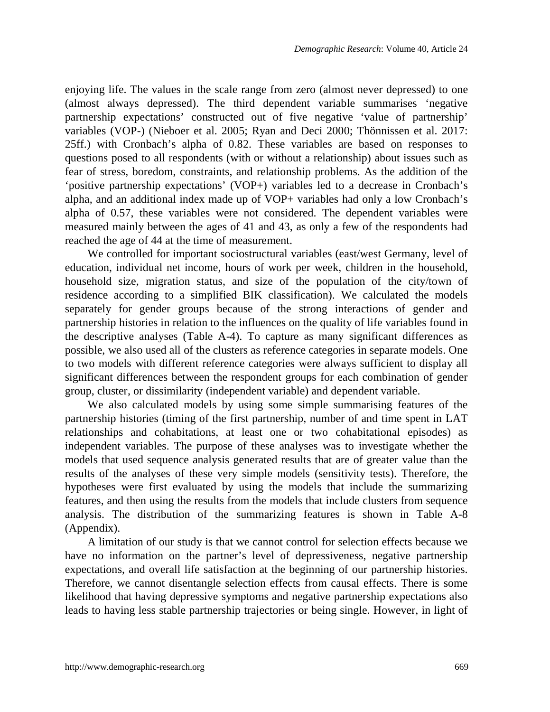enjoying life. The values in the scale range from zero (almost never depressed) to one (almost always depressed). The third dependent variable summarises 'negative partnership expectations' constructed out of five negative 'value of partnership' variables (VOP-) (Nieboer et al. 2005; Ryan and Deci 2000; Thönnissen et al. 2017: 25ff.) with Cronbach's alpha of 0.82. These variables are based on responses to questions posed to all respondents (with or without a relationship) about issues such as fear of stress, boredom, constraints, and relationship problems. As the addition of the 'positive partnership expectations' (VOP+) variables led to a decrease in Cronbach's alpha, and an additional index made up of VOP+ variables had only a low Cronbach's alpha of 0.57, these variables were not considered. The dependent variables were measured mainly between the ages of 41 and 43, as only a few of the respondents had reached the age of 44 at the time of measurement.

We controlled for important sociostructural variables (east/west Germany, level of education, individual net income, hours of work per week, children in the household, household size, migration status, and size of the population of the city/town of residence according to a simplified BIK classification). We calculated the models separately for gender groups because of the strong interactions of gender and partnership histories in relation to the influences on the quality of life variables found in the descriptive analyses (Table A-4). To capture as many significant differences as possible, we also used all of the clusters as reference categories in separate models. One to two models with different reference categories were always sufficient to display all significant differences between the respondent groups for each combination of gender group, cluster, or dissimilarity (independent variable) and dependent variable.

We also calculated models by using some simple summarising features of the partnership histories (timing of the first partnership, number of and time spent in LAT relationships and cohabitations, at least one or two cohabitational episodes) as independent variables. The purpose of these analyses was to investigate whether the models that used sequence analysis generated results that are of greater value than the results of the analyses of these very simple models (sensitivity tests). Therefore, the hypotheses were first evaluated by using the models that include the summarizing features, and then using the results from the models that include clusters from sequence analysis. The distribution of the summarizing features is shown in Table A-8 (Appendix).

A limitation of our study is that we cannot control for selection effects because we have no information on the partner's level of depressiveness, negative partnership expectations, and overall life satisfaction at the beginning of our partnership histories. Therefore, we cannot disentangle selection effects from causal effects. There is some likelihood that having depressive symptoms and negative partnership expectations also leads to having less stable partnership trajectories or being single. However, in light of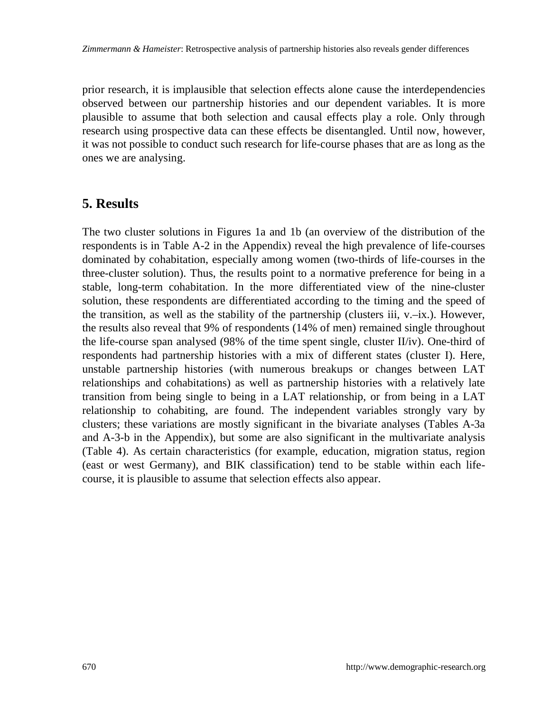prior research, it is implausible that selection effects alone cause the interdependencies observed between our partnership histories and our dependent variables. It is more plausible to assume that both selection and causal effects play a role. Only through research using prospective data can these effects be disentangled. Until now, however, it was not possible to conduct such research for life-course phases that are as long as the ones we are analysing.

### **5. Results**

The two cluster solutions in Figures 1a and 1b (an overview of the distribution of the respondents is in Table A-2 in the Appendix) reveal the high prevalence of life-courses dominated by cohabitation, especially among women (two-thirds of life-courses in the three-cluster solution). Thus, the results point to a normative preference for being in a stable, long-term cohabitation. In the more differentiated view of the nine-cluster solution, these respondents are differentiated according to the timing and the speed of the transition, as well as the stability of the partnership (clusters iii,  $v.-ix$ .). However, the results also reveal that 9% of respondents (14% of men) remained single throughout the life-course span analysed (98% of the time spent single, cluster II/iv). One-third of respondents had partnership histories with a mix of different states (cluster I). Here, unstable partnership histories (with numerous breakups or changes between LAT relationships and cohabitations) as well as partnership histories with a relatively late transition from being single to being in a LAT relationship, or from being in a LAT relationship to cohabiting, are found. The independent variables strongly vary by clusters; these variations are mostly significant in the bivariate analyses (Tables A-3a and A-3-b in the Appendix), but some are also significant in the multivariate analysis (Table 4). As certain characteristics (for example, education, migration status, region (east or west Germany), and BIK classification) tend to be stable within each lifecourse, it is plausible to assume that selection effects also appear.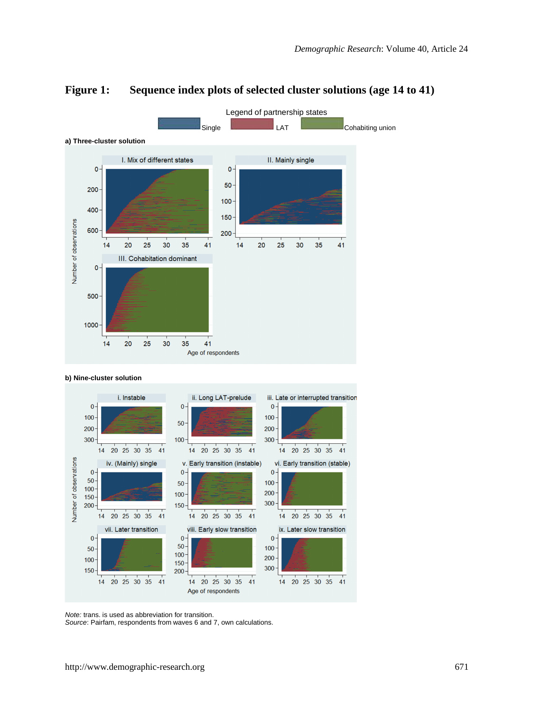

#### **Figure 1: Sequence index plots of selected cluster solutions (age 14 to 41)**





*Note:* trans. is used as abbreviation for transition.

*Source*: Pairfam, respondents from waves 6 and 7, own calculations.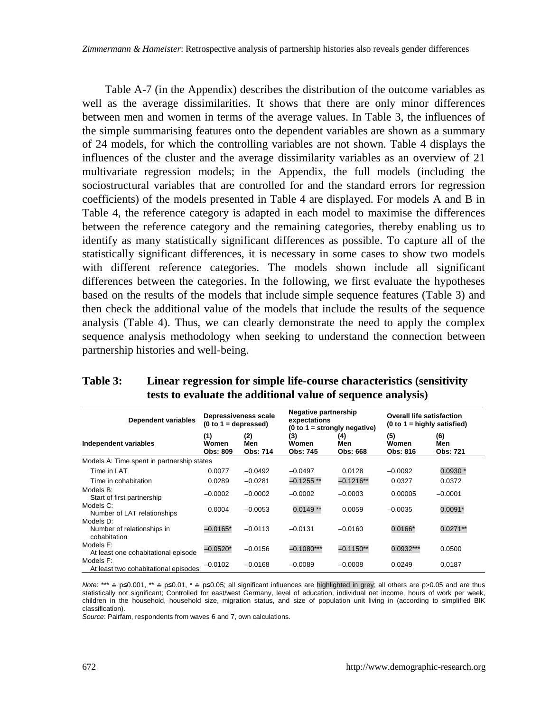Table A-7 (in the Appendix) describes the distribution of the outcome variables as well as the average dissimilarities. It shows that there are only minor differences between men and women in terms of the average values. In Table 3, the influences of the simple summarising features onto the dependent variables are shown as a summary of 24 models, for which the controlling variables are not shown. Table 4 displays the influences of the cluster and the average dissimilarity variables as an overview of 21 multivariate regression models; in the Appendix, the full models (including the sociostructural variables that are controlled for and the standard errors for regression coefficients) of the models presented in Table 4 are displayed. For models A and B in Table 4, the reference category is adapted in each model to maximise the differences between the reference category and the remaining categories, thereby enabling us to identify as many statistically significant differences as possible. To capture all of the statistically significant differences, it is necessary in some cases to show two models with different reference categories. The models shown include all significant differences between the categories. In the following, we first evaluate the hypotheses based on the results of the models that include simple sequence features (Table 3) and then check the additional value of the models that include the results of the sequence analysis (Table 4). Thus, we can clearly demonstrate the need to apply the complex sequence analysis methodology when seeking to understand the connection between partnership histories and well-being.

| Dependent variables                                     | Depressiveness scale<br>$(0 to 1 = depressed)$ |                        | Negative partnership<br>expectations | $(0 to 1 = strongly negative)$ | <b>Overall life satisfaction</b><br>$(0 to 1 =$ highly satisfied) |                        |  |
|---------------------------------------------------------|------------------------------------------------|------------------------|--------------------------------------|--------------------------------|-------------------------------------------------------------------|------------------------|--|
| Independent variables                                   | (1)<br>Women<br>Obs: 809                       | (2)<br>Men<br>Obs: 714 | (3)<br>Women<br>Obs: 745             | (4)<br>Men<br>Obs: 668         | (5)<br>Women<br>Obs: 816                                          | (6)<br>Men<br>Obs: 721 |  |
| Models A: Time spent in partnership states              |                                                |                        |                                      |                                |                                                                   |                        |  |
| Time in LAT                                             | 0.0077                                         | $-0.0492$              | $-0.0497$                            | 0.0128                         | $-0.0092$                                                         | $0.0930*$              |  |
| Time in cohabitation                                    | 0.0289                                         | $-0.0281$              | $-0.1255**$                          | $-0.1216**$                    | 0.0327                                                            | 0.0372                 |  |
| Models B:<br>Start of first partnership                 | $-0.0002$                                      | $-0.0002$              | $-0.0002$                            | $-0.0003$                      | 0.00005                                                           | $-0.0001$              |  |
| Models C:<br>Number of LAT relationships                | 0.0004                                         | $-0.0053$              | $0.0149**$                           | 0.0059                         | $-0.0035$                                                         | $0.0091*$              |  |
| Models D:<br>Number of relationships in<br>cohabitation | $-0.0165*$                                     | $-0.0113$              | $-0.0131$                            | $-0.0160$                      | $0.0166*$                                                         | $0.0271**$             |  |
| Models E:<br>At least one cohabitational episode        | $-0.0520*$                                     | $-0.0156$              | $-0.1080***$                         | $-0.1150**$                    | $0.0932***$                                                       | 0.0500                 |  |
| Models F:<br>At least two cohabitational episodes       | $-0.0102$                                      | $-0.0168$              | $-0.0089$                            | $-0.0008$                      | 0.0249                                                            | 0.0187                 |  |

#### **Table 3: Linear regression for simple life-course characteristics (sensitivity tests to evaluate the additional value of sequence analysis)**

*Note*: \*\*\* ≙ p≤0.001, \*\* ≙ p≤0.01, \* ≙ p≤0.05; all significant influences are highlighted in grey; all others are p>0.05 and are thus statistically not significant; Controlled for east/west Germany, level of education, individual net income, hours of work per week, children in the household, household size, migration status, and size of population unit living in (according to simplified BIK classification).

*Source*: Pairfam, respondents from waves 6 and 7, own calculations.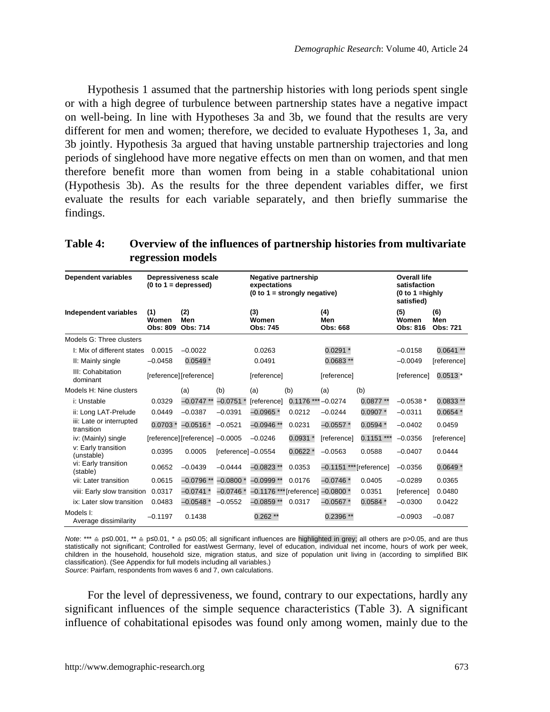Hypothesis 1 assumed that the partnership histories with long periods spent single or with a high degree of turbulence between partnership states have a negative impact on well-being. In line with Hypotheses 3a and 3b, we found that the results are very different for men and women; therefore, we decided to evaluate Hypotheses 1, 3a, and 3b jointly. Hypothesis 3a argued that having unstable partnership trajectories and long periods of singlehood have more negative effects on men than on women, and that men therefore benefit more than women from being in a stable cohabitational union (Hypothesis 3b). As the results for the three dependent variables differ, we first evaluate the results for each variable separately, and then briefly summarise the findings.

| Table 4: | Overview of the influences of partnership histories from multivariate |
|----------|-----------------------------------------------------------------------|
|          | regression models                                                     |

| Dependent variables                    | Depressiveness scale     | expectations                   | Negative partnership<br>$(0 to 1 = strongly negative)$ | Overall life<br>satisfaction<br>(0 to 1 = highly<br>satisfied) |                                   |                        |                           |                          |                        |
|----------------------------------------|--------------------------|--------------------------------|--------------------------------------------------------|----------------------------------------------------------------|-----------------------------------|------------------------|---------------------------|--------------------------|------------------------|
| Independent variables                  | (1)<br>Women<br>Obs: 809 | (2)<br>Men<br>Obs: 714         |                                                        | (3)<br>Women<br>Obs: 745                                       |                                   | (4)<br>Men<br>Obs: 668 |                           | (5)<br>Women<br>Obs: 816 | (6)<br>Men<br>Obs: 721 |
| Models G: Three clusters               |                          |                                |                                                        |                                                                |                                   |                        |                           |                          |                        |
| I: Mix of different states             | 0.0015                   | $-0.0022$                      |                                                        | 0.0263                                                         |                                   | $0.0291*$              |                           | $-0.0158$                | $0.0641**$             |
| II: Mainly single                      | $-0.0458$                | $0.0549*$                      |                                                        | 0.0491                                                         |                                   | $0.0683**$             |                           | $-0.0049$                | [reference]            |
| III: Cohabitation<br>dominant          |                          | [reference][reference]         |                                                        | [reference]                                                    |                                   | [reference]            |                           | <b>Ireferencel</b>       | $0.0513*$              |
| Models H: Nine clusters                |                          | (a)                            | (b)                                                    | (a)                                                            | (b)                               | (a)                    | (b)                       |                          |                        |
| i: Unstable                            | 0.0329                   | $-0.0747**$                    | $-0.0751*$                                             | [reference]                                                    | $0.1176$ *** -0.0274              |                        | $0.0877**$                | $-0.0538*$               | $0.0833**$             |
| ii: Long LAT-Prelude                   | 0.0449                   | $-0.0387$                      | $-0.0391$                                              | $-0.0965*$                                                     | 0.0212                            | $-0.0244$              | $0.0907*$                 | $-0.0311$                | $0.0654*$              |
| iii: Late or interrupted<br>transition | $0.0703*$                | $-0.0516*$                     | $-0.0521$                                              | $-0.0946**$                                                    | 0.0231                            | $-0.0557*$             | $0.0594*$                 | $-0.0402$                | 0.0459                 |
| iv: (Mainly) single                    |                          | [reference][reference] -0.0005 |                                                        | $-0.0246$                                                      | $0.0931*$                         | <b>Ireferencel</b>     | $0.1151***$               | $-0.0356$                | [reference]            |
| v: Early transition<br>(unstable)      | 0.0395                   | 0.0005                         | [reference]-0.0554                                     |                                                                | $0.0622*$                         | $-0.0563$              | 0.0588                    | $-0.0407$                | 0.0444                 |
| vi: Early transition<br>(stable)       | 0.0652                   | $-0.0439$                      | $-0.0444$                                              | $-0.0823$ **                                                   | 0.0353                            |                        | $-0.1151$ *** [reference] | $-0.0356$                | $0.0649*$              |
| vii: Later transition                  | 0.0615                   | $-0.0796**$                    | $-0.0800*$                                             | $-0.0999**$                                                    | 0.0176                            | $-0.0746*$             | 0.0405                    | $-0.0289$                | 0.0365                 |
| viii: Early slow transition            | 0.0317                   | $-0.0741*$                     | $-0.0746*$                                             |                                                                | -0.1176 *** [reference] -0.0800 * |                        | 0.0351                    | <b>Ireferencel</b>       | 0.0480                 |
| ix: Later slow transition              | 0.0483                   | $-0.0548*$                     | $-0.0552$                                              | $-0.0859**$                                                    | 0.0317                            | $-0.0567*$             | $0.0584*$                 | $-0.0300$                | 0.0422                 |
| Models I:<br>Average dissimilarity     | $-0.1197$                | 0.1438                         |                                                        | $0.262**$                                                      |                                   | $0.2396**$             |                           | $-0.0903$                | $-0.087$               |

*Note*: \*\*\* ≙ p≤0.001, \*\* ≙ p≤0.01, \* ≙ p≤0.05; all significant influences are highlighted in grey; all others are p>0.05, and are thus statistically not significant; Controlled for east/west Germany, level of education, individual net income, hours of work per week, children in the household, household size, migration status, and size of population unit living in (according to simplified BIK classification). (See Appendix for full models including all variables.) *Source*: Pairfam, respondents from waves 6 and 7, own calculations.

For the level of depressiveness, we found, contrary to our expectations, hardly any significant influences of the simple sequence characteristics (Table 3). A significant influence of cohabitational episodes was found only among women, mainly due to the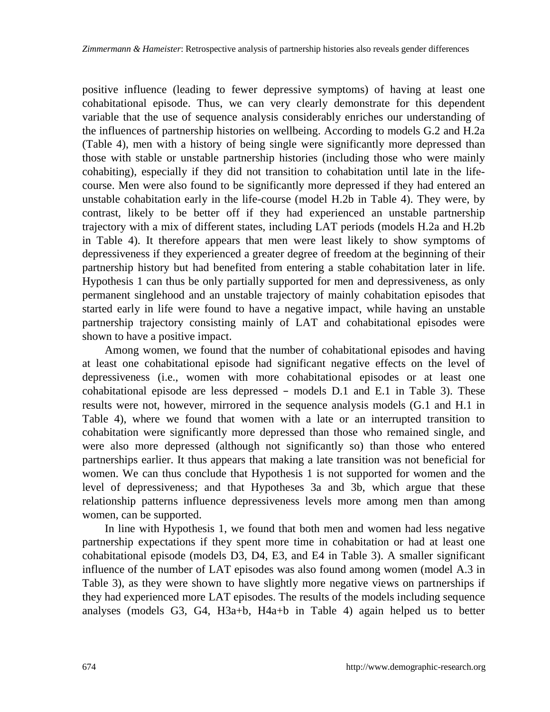positive influence (leading to fewer depressive symptoms) of having at least one cohabitational episode. Thus, we can very clearly demonstrate for this dependent variable that the use of sequence analysis considerably enriches our understanding of the influences of partnership histories on wellbeing. According to models G.2 and H.2a (Table 4), men with a history of being single were significantly more depressed than those with stable or unstable partnership histories (including those who were mainly cohabiting), especially if they did not transition to cohabitation until late in the lifecourse. Men were also found to be significantly more depressed if they had entered an unstable cohabitation early in the life-course (model H.2b in Table 4). They were, by contrast, likely to be better off if they had experienced an unstable partnership trajectory with a mix of different states, including LAT periods (models H.2a and H.2b in Table 4). It therefore appears that men were least likely to show symptoms of depressiveness if they experienced a greater degree of freedom at the beginning of their partnership history but had benefited from entering a stable cohabitation later in life. Hypothesis 1 can thus be only partially supported for men and depressiveness, as only permanent singlehood and an unstable trajectory of mainly cohabitation episodes that started early in life were found to have a negative impact, while having an unstable partnership trajectory consisting mainly of LAT and cohabitational episodes were shown to have a positive impact.

Among women, we found that the number of cohabitational episodes and having at least one cohabitational episode had significant negative effects on the level of depressiveness (i.e., women with more cohabitational episodes or at least one cohabitational episode are less depressed – models D.1 and E.1 in Table 3). These results were not, however, mirrored in the sequence analysis models (G.1 and H.1 in Table 4), where we found that women with a late or an interrupted transition to cohabitation were significantly more depressed than those who remained single, and were also more depressed (although not significantly so) than those who entered partnerships earlier. It thus appears that making a late transition was not beneficial for women. We can thus conclude that Hypothesis 1 is not supported for women and the level of depressiveness; and that Hypotheses 3a and 3b, which argue that these relationship patterns influence depressiveness levels more among men than among women, can be supported.

In line with Hypothesis 1, we found that both men and women had less negative partnership expectations if they spent more time in cohabitation or had at least one cohabitational episode (models D3, D4, E3, and E4 in Table 3). A smaller significant influence of the number of LAT episodes was also found among women (model A.3 in Table 3), as they were shown to have slightly more negative views on partnerships if they had experienced more LAT episodes. The results of the models including sequence analyses (models G3, G4, H3a+b, H4a+b in Table 4) again helped us to better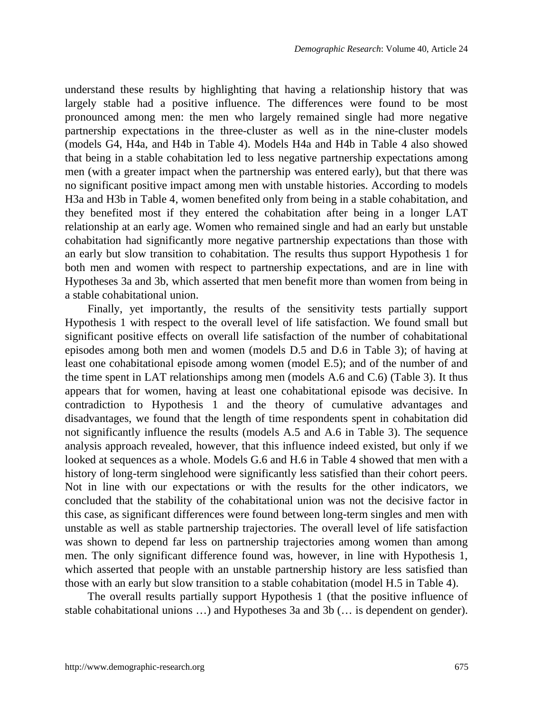understand these results by highlighting that having a relationship history that was largely stable had a positive influence. The differences were found to be most pronounced among men: the men who largely remained single had more negative partnership expectations in the three-cluster as well as in the nine-cluster models (models G4, H4a, and H4b in Table 4). Models H4a and H4b in Table 4 also showed that being in a stable cohabitation led to less negative partnership expectations among men (with a greater impact when the partnership was entered early), but that there was no significant positive impact among men with unstable histories. According to models H3a and H3b in Table 4, women benefited only from being in a stable cohabitation, and they benefited most if they entered the cohabitation after being in a longer LAT relationship at an early age. Women who remained single and had an early but unstable cohabitation had significantly more negative partnership expectations than those with an early but slow transition to cohabitation. The results thus support Hypothesis 1 for both men and women with respect to partnership expectations, and are in line with Hypotheses 3a and 3b, which asserted that men benefit more than women from being in a stable cohabitational union.

Finally, yet importantly, the results of the sensitivity tests partially support Hypothesis 1 with respect to the overall level of life satisfaction. We found small but significant positive effects on overall life satisfaction of the number of cohabitational episodes among both men and women (models D.5 and D.6 in Table 3); of having at least one cohabitational episode among women (model E.5); and of the number of and the time spent in LAT relationships among men (models A.6 and C.6) (Table 3). It thus appears that for women, having at least one cohabitational episode was decisive. In contradiction to Hypothesis 1 and the theory of cumulative advantages and disadvantages, we found that the length of time respondents spent in cohabitation did not significantly influence the results (models A.5 and A.6 in Table 3). The sequence analysis approach revealed, however, that this influence indeed existed, but only if we looked at sequences as a whole. Models G.6 and H.6 in Table 4 showed that men with a history of long-term singlehood were significantly less satisfied than their cohort peers. Not in line with our expectations or with the results for the other indicators, we concluded that the stability of the cohabitational union was not the decisive factor in this case, as significant differences were found between long-term singles and men with unstable as well as stable partnership trajectories. The overall level of life satisfaction was shown to depend far less on partnership trajectories among women than among men. The only significant difference found was, however, in line with Hypothesis 1, which asserted that people with an unstable partnership history are less satisfied than those with an early but slow transition to a stable cohabitation (model H.5 in Table 4).

The overall results partially support Hypothesis 1 (that the positive influence of stable cohabitational unions …) and Hypotheses 3a and 3b (… is dependent on gender).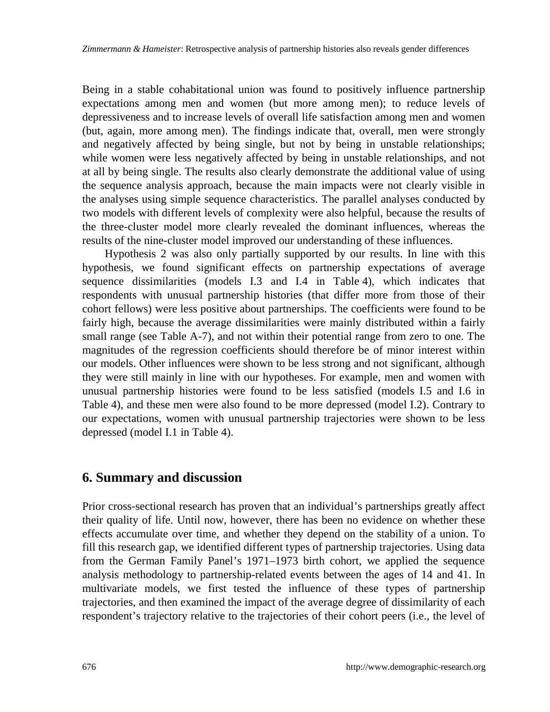Being in a stable cohabitational union was found to positively influence partnership expectations among men and women (but more among men); to reduce levels of depressiveness and to increase levels of overall life satisfaction among men and women (but, again, more among men). The findings indicate that, overall, men were strongly and negatively affected by being single, but not by being in unstable relationships; while women were less negatively affected by being in unstable relationships, and not at all by being single. The results also clearly demonstrate the additional value of using the sequence analysis approach, because the main impacts were not clearly visible in the analyses using simple sequence characteristics. The parallel analyses conducted by two models with different levels of complexity were also helpful, because the results of the three-cluster model more clearly revealed the dominant influences, whereas the results of the nine-cluster model improved our understanding of these influences.

Hypothesis 2 was also only partially supported by our results. In line with this hypothesis, we found significant effects on partnership expectations of average sequence dissimilarities (models I.3 and I.4 in Table 4), which indicates that respondents with unusual partnership histories (that differ more from those of their cohort fellows) were less positive about partnerships. The coefficients were found to be fairly high, because the average dissimilarities were mainly distributed within a fairly small range (see Table A-7), and not within their potential range from zero to one. The magnitudes of the regression coefficients should therefore be of minor interest within our models. Other influences were shown to be less strong and not significant, although they were still mainly in line with our hypotheses. For example, men and women with unusual partnership histories were found to be less satisfied (models I.5 and I.6 in Table 4), and these men were also found to be more depressed (model I.2). Contrary to our expectations, women with unusual partnership trajectories were shown to be less depressed (model I.1 in Table 4).

### **6. Summary and discussion**

Prior cross-sectional research has proven that an individual's partnerships greatly affect their quality of life. Until now, however, there has been no evidence on whether these effects accumulate over time, and whether they depend on the stability of a union. To fill this research gap, we identified different types of partnership trajectories. Using data from the German Family Panel's 1971–1973 birth cohort, we applied the sequence analysis methodology to partnership-related events between the ages of 14 and 41. In multivariate models, we first tested the influence of these types of partnership trajectories, and then examined the impact of the average degree of dissimilarity of each respondent's trajectory relative to the trajectories of their cohort peers (i.e., the level of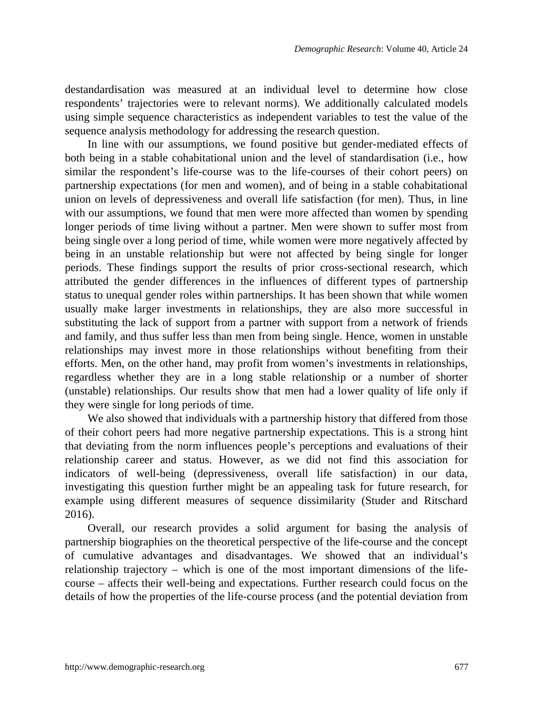destandardisation was measured at an individual level to determine how close respondents' trajectories were to relevant norms). We additionally calculated models using simple sequence characteristics as independent variables to test the value of the sequence analysis methodology for addressing the research question.

In line with our assumptions, we found positive but gender-mediated effects of both being in a stable cohabitational union and the level of standardisation (i.e., how similar the respondent's life-course was to the life-courses of their cohort peers) on partnership expectations (for men and women), and of being in a stable cohabitational union on levels of depressiveness and overall life satisfaction (for men). Thus, in line with our assumptions, we found that men were more affected than women by spending longer periods of time living without a partner. Men were shown to suffer most from being single over a long period of time, while women were more negatively affected by being in an unstable relationship but were not affected by being single for longer periods. These findings support the results of prior cross-sectional research, which attributed the gender differences in the influences of different types of partnership status to unequal gender roles within partnerships. It has been shown that while women usually make larger investments in relationships, they are also more successful in substituting the lack of support from a partner with support from a network of friends and family, and thus suffer less than men from being single. Hence, women in unstable relationships may invest more in those relationships without benefiting from their efforts. Men, on the other hand, may profit from women's investments in relationships, regardless whether they are in a long stable relationship or a number of shorter (unstable) relationships. Our results show that men had a lower quality of life only if they were single for long periods of time.

We also showed that individuals with a partnership history that differed from those of their cohort peers had more negative partnership expectations. This is a strong hint that deviating from the norm influences people's perceptions and evaluations of their relationship career and status. However, as we did not find this association for indicators of well-being (depressiveness, overall life satisfaction) in our data, investigating this question further might be an appealing task for future research, for example using different measures of sequence dissimilarity (Studer and Ritschard 2016).

Overall, our research provides a solid argument for basing the analysis of partnership biographies on the theoretical perspective of the life-course and the concept of cumulative advantages and disadvantages. We showed that an individual's relationship trajectory – which is one of the most important dimensions of the lifecourse – affects their well-being and expectations. Further research could focus on the details of how the properties of the life-course process (and the potential deviation from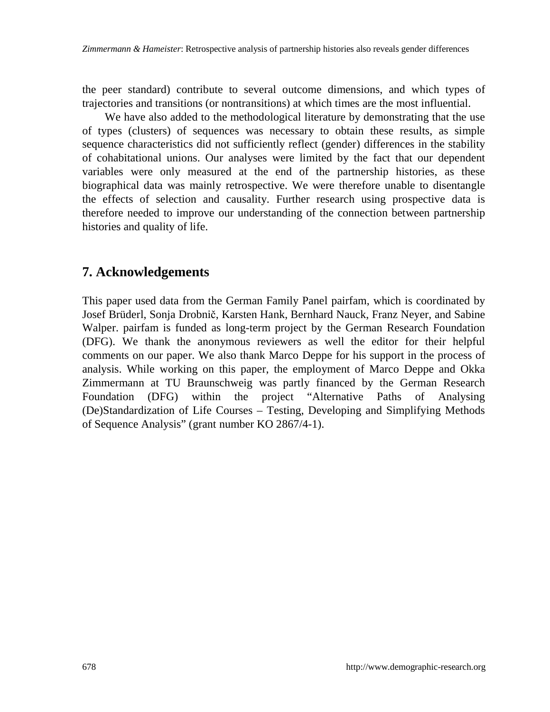the peer standard) contribute to several outcome dimensions, and which types of trajectories and transitions (or nontransitions) at which times are the most influential.

We have also added to the methodological literature by demonstrating that the use of types (clusters) of sequences was necessary to obtain these results, as simple sequence characteristics did not sufficiently reflect (gender) differences in the stability of cohabitational unions. Our analyses were limited by the fact that our dependent variables were only measured at the end of the partnership histories, as these biographical data was mainly retrospective. We were therefore unable to disentangle the effects of selection and causality. Further research using prospective data is therefore needed to improve our understanding of the connection between partnership histories and quality of life.

### **7. Acknowledgements**

This paper used data from the German Family Panel pairfam, which is coordinated by Josef Brüderl, Sonja Drobnič, Karsten Hank, Bernhard Nauck, Franz Neyer, and Sabine Walper. pairfam is funded as long-term project by the German Research Foundation (DFG). We thank the anonymous reviewers as well the editor for their helpful comments on our paper. We also thank Marco Deppe for his support in the process of analysis. While working on this paper, the employment of Marco Deppe and Okka Zimmermann at TU Braunschweig was partly financed by the German Research Foundation (DFG) within the project "Alternative Paths of Analysing (De)Standardization of Life Courses – Testing, Developing and Simplifying Methods of Sequence Analysis" (grant number KO 2867/4-1).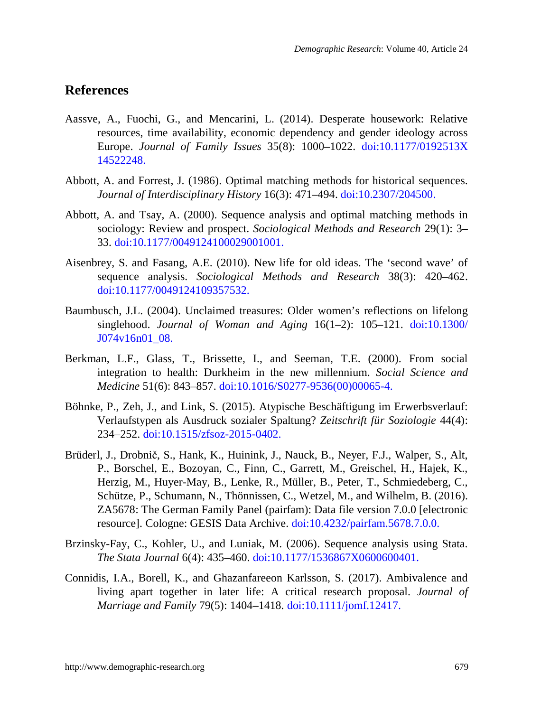### **References**

- Aassve, A., Fuochi, G., and Mencarini, L. (2014). Desperate housework: Relative resources, time availability, economic dependency and gender ideology across Europe. *Journal of Family Issues* 35(8): 1000–1022. [doi:10.1177/0192513X](https://doi.org/10.1177/0192513X14522248) [14522248.](https://doi.org/10.1177/0192513X14522248)
- Abbott, A. and Forrest, J. (1986). Optimal matching methods for historical sequences. *Journal of Interdisciplinary History* 16(3): 471–494. [doi:10.2307/204500.](https://doi.org/10.2307/204500)
- Abbott, A. and Tsay, A. (2000). Sequence analysis and optimal matching methods in sociology: Review and prospect. *Sociological Methods and Research* 29(1): 3– 33. [doi:10.1177/0049124100029001001.](https://doi.org/10.1177/0049124100029001001)
- Aisenbrey, S. and Fasang, A.E. (2010). New life for old ideas. The 'second wave' of sequence analysis. *Sociological Methods and Research* 38(3): 420–462. [doi:10.1177/0049124109357532.](https://doi.org/10.1177/0049124109357532)
- Baumbusch, J.L. (2004). Unclaimed treasures: Older women's reflections on lifelong singlehood. *Journal of Woman and Aging* 16(1–2): 105–121. [doi:10.1300/](https://doi.org/10.1300/J074v16n01_08) [J074v16n01\\_08.](https://doi.org/10.1300/J074v16n01_08)
- Berkman, L.F., Glass, T., Brissette, I., and Seeman, T.E. (2000). From social integration to health: Durkheim in the new millennium. *Social Science and Medicine* 51(6): 843–857. [doi:10.1016/S0277-9536\(00\)00065-4.](https://doi.org/10.1016/S0277-9536(00)00065-4)
- Böhnke, P., Zeh, J., and Link, S. (2015). Atypische Beschäftigung im Erwerbsverlauf: Verlaufstypen als Ausdruck sozialer Spaltung? *Zeitschrift für Soziologie* 44(4): 234–252. [doi:10.1515/zfsoz-2015-0402.](https://doi.org/10.1515/zfsoz-2015-0402)
- Brüderl, J., Drobnič, S., Hank, K., Huinink, J., Nauck, B., Neyer, F.J., Walper, S., Alt, P., Borschel, E., Bozoyan, C., Finn, C., Garrett, M., Greischel, H., Hajek, K., Herzig, M., Huyer-May, B., Lenke, R., Müller, B., Peter, T., Schmiedeberg, C., Schütze, P., Schumann, N., Thönnissen, C., Wetzel, M., and Wilhelm, B. (2016). ZA5678: The German Family Panel (pairfam): Data file version 7.0.0 [electronic resource]. Cologne: GESIS Data Archive. [doi:10.4232/pairfam.5678.7.0.0.](https://doi.org/10.4232/pairfam.5678.7.0.0)
- Brzinsky-Fay, C., Kohler, U., and Luniak, M. (2006). Sequence analysis using Stata. *The Stata Journal* 6(4): 435–460. [doi:10.1177/1536867X0600600401.](https://doi.org/10.1177/1536867X0600600401)
- Connidis, I.A., Borell, K., and Ghazanfareeon Karlsson, S. (2017). Ambivalence and living apart together in later life: A critical research proposal. *Journal of Marriage and Family* 79(5): 1404–1418. [doi:10.1111/jomf.12417.](https://doi.org/10.1111/jomf.12417)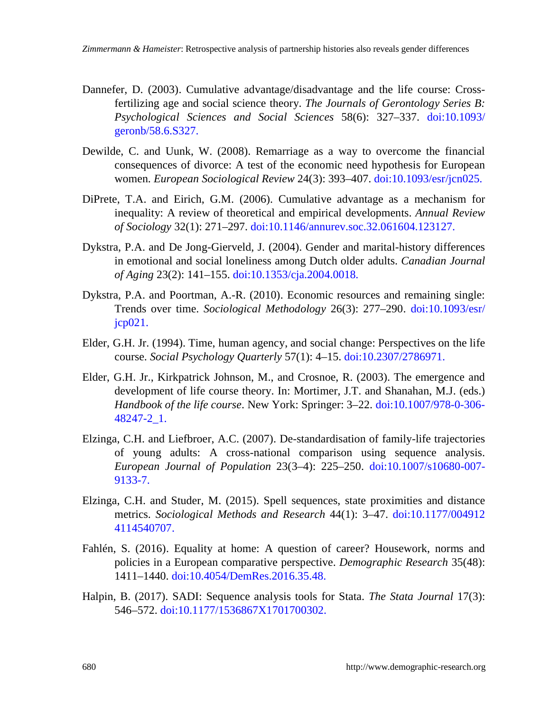- Dannefer, D. (2003). Cumulative advantage/disadvantage and the life course: Crossfertilizing age and social science theory. *The Journals of Gerontology Series B: Psychological Sciences and Social Sciences* 58(6): 327–337. [doi:10.1093/](https://doi.org/10.1093/geronb/58.6.S327) [geronb/58.6.S327.](https://doi.org/10.1093/geronb/58.6.S327)
- Dewilde, C. and Uunk, W. (2008). Remarriage as a way to overcome the financial consequences of divorce: A test of the economic need hypothesis for European women. *European Sociological Review* 24(3): 393–407. [doi:10.1093/esr/jcn025.](https://doi.org/10.1093/esr/jcn025)
- DiPrete, T.A. and Eirich, G.M. (2006). Cumulative advantage as a mechanism for inequality: A review of theoretical and empirical developments. *Annual Review of Sociology* 32(1): 271–297. [doi:10.1146/annurev.soc.32.061604.123127.](https://doi.org/10.1146/annurev.soc.32.061604.123127)
- Dykstra, P.A. and De Jong-Gierveld, J. (2004). Gender and marital-history differences in emotional and social loneliness among Dutch older adults. *Canadian Journal of Aging* 23(2): 141–155. [doi:10.1353/cja.2004.0018.](https://doi.org/10.1353/cja.2004.0018)
- Dykstra, P.A. and Poortman, A.-R. (2010). Economic resources and remaining single: Trends over time. *Sociological Methodology* 26(3): 277–290. [doi:10.1093/esr/](https://doi.org/10.1093/esr/jcp021)  $icp021$ .
- Elder, G.H. Jr. (1994). Time, human agency, and social change: Perspectives on the life course. *Social Psychology Quarterly* 57(1): 4–15. [doi:10.2307/2786971.](https://doi.org/10.2307/2786971)
- Elder, G.H. Jr., Kirkpatrick Johnson, M., and Crosnoe, R. (2003). The emergence and development of life course theory. In: Mortimer, J.T. and Shanahan, M.J. (eds.) *Handbook of the life course*. New York: Springer: 3–22. [doi:10.1007/978-0-306-](https://doi.org/10.1007/978-0-306-48247-2_1) [48247-2\\_1.](https://doi.org/10.1007/978-0-306-48247-2_1)
- Elzinga, C.H. and Liefbroer, A.C. (2007). De-standardisation of family-life trajectories of young adults: A cross-national comparison using sequence analysis. *European Journal of Population* 23(3–4): 225–250. [doi:10.1007/s10680-007-](https://doi.org/10.1007/s10680-007-9133-7) [9133-7.](https://doi.org/10.1007/s10680-007-9133-7)
- Elzinga, C.H. and Studer, M. (2015). Spell sequences, state proximities and distance metrics. *Sociological Methods and Research* 44(1): 3–47. [doi:10.1177/004912](https://doi.org/10.1177/0049124114540707) [4114540707.](https://doi.org/10.1177/0049124114540707)
- Fahlén, S. (2016). Equality at home: A question of career? Housework, norms and policies in a European comparative perspective. *Demographic Research* 35(48): 1411–1440. [doi:10.4054/DemRes.2016.35.48.](https://doi.org/10.4054/DemRes.2016.35.48)
- Halpin, B. (2017). SADI: Sequence analysis tools for Stata. *The Stata Journal* 17(3): 546–572. [doi:10.1177/1536867X1701700302.](https://doi.org/10.1177/1536867X1701700302)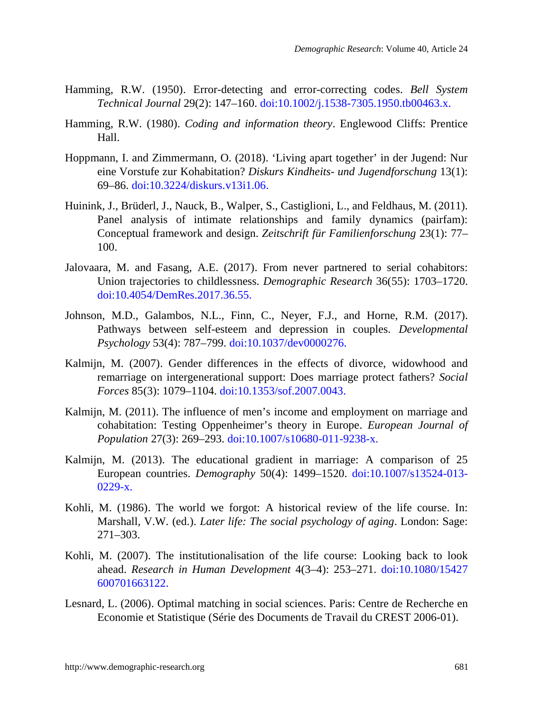- Hamming, R.W. (1950). Error-detecting and error-correcting codes. *Bell System Technical Journal* 29(2): 147–160. [doi:10.1002/j.1538-7305.1950.tb00463.x.](https://doi.org/10.1002/j.1538-7305.1950.tb00463.x)
- Hamming, R.W. (1980). *Coding and information theory*. Englewood Cliffs: Prentice Hall.
- Hoppmann, I. and Zimmermann, O. (2018). 'Living apart together' in der Jugend: Nur eine Vorstufe zur Kohabitation? *Diskurs Kindheits- und Jugendforschung* 13(1): 69–86. [doi:10.3224/diskurs.v13i1.06.](https://doi.org/10.3224/diskurs.v13i1.06)
- Huinink, J., Brüderl, J., Nauck, B., Walper, S., Castiglioni, L., and Feldhaus, M. (2011). Panel analysis of intimate relationships and family dynamics (pairfam): Conceptual framework and design. *Zeitschrift für Familienforschung* 23(1): 77– 100.
- Jalovaara, M. and Fasang, A.E. (2017). From never partnered to serial cohabitors: Union trajectories to childlessness. *Demographic Research* 36(55): 1703–1720. [doi:10.4054/DemRes.2017.36.55.](https://doi.org/10.4054/DemRes.2017.36.55)
- Johnson, M.D., Galambos, N.L., Finn, C., Neyer, F.J., and Horne, R.M. (2017). Pathways between self-esteem and depression in couples. *Developmental Psychology* 53(4): 787–799. [doi:10.1037/dev0000276.](https://doi.org/10.1037/dev0000276)
- Kalmijn, M. (2007). Gender differences in the effects of divorce, widowhood and remarriage on intergenerational support: Does marriage protect fathers? *Social Forces* 85(3): 1079*–*1104. [doi:10.1353/sof.2007.0043.](https://doi.org/10.1353/sof.2007.0043)
- Kalmijn, M. (2011). The influence of men's income and employment on marriage and cohabitation: Testing Oppenheimer's theory in Europe. *European Journal of Population* 27(3): 269–293. [doi:10.1007/s10680-011-9238-x.](https://doi.org/10.1007/s10680-011-9238-x)
- Kalmijn, M. (2013). The educational gradient in marriage: A comparison of 25 European countries. *Demography* 50(4): 1499–1520. [doi:10.1007/s13524-013-](https://doi.org/10.1007/s13524-013-0229-x) [0229-x.](https://doi.org/10.1007/s13524-013-0229-x)
- Kohli, M. (1986). The world we forgot: A historical review of the life course. In: Marshall, V.W. (ed.). *Later life: The social psychology of aging*. London: Sage: 271–303.
- Kohli, M. (2007). The institutionalisation of the life course: Looking back to look ahead. *Research in Human Development* 4(3–4): 253–271. [doi:10.1080/15427](https://doi.org/10.1080/15427600701663122) [600701663122.](https://doi.org/10.1080/15427600701663122)
- Lesnard, L. (2006). Optimal matching in social sciences. Paris: Centre de Recherche en Economie et Statistique (Série des Documents de Travail du CREST 2006-01).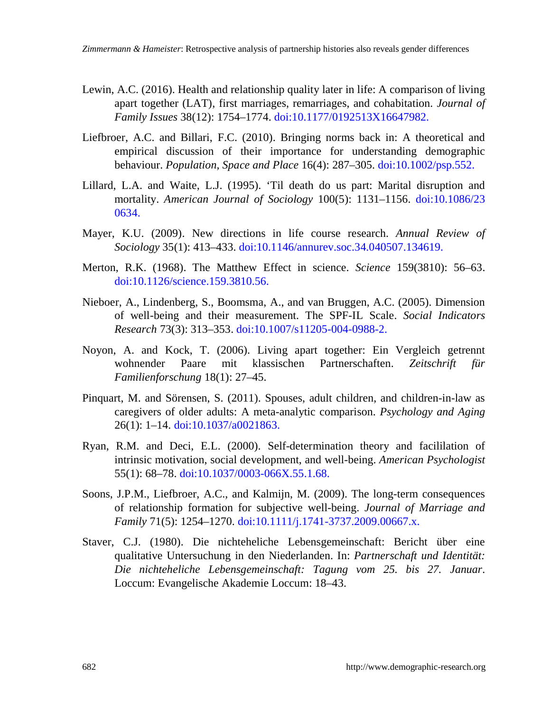- Lewin, A.C. (2016). Health and relationship quality later in life: A comparison of living apart together (LAT), first marriages, remarriages, and cohabitation. *Journal of Family Issues* 38(12): 1754–1774. [doi:10.1177/0192513X16647982.](https://doi.org/10.1177/0192513X16647982)
- Liefbroer, A.C. and Billari, F.C. (2010). Bringing norms back in: A theoretical and empirical discussion of their importance for understanding demographic behaviour. *Population, Space and Place* 16(4): 287–305. d[oi:10.1002/psp.552.](https://doi.org/10.1002/psp.552)
- Lillard, L.A. and Waite, L.J. (1995). 'Til death do us part: Marital disruption and mortality. *American Journal of Sociology* 100(5): 1131–1156. [doi:10.1086/23](https://doi.org/10.1086/230634) [0634.](https://doi.org/10.1086/230634)
- Mayer, K.U. (2009). New directions in life course research. *Annual Review of Sociology* 35(1): 413–433. [doi:10.1146/annurev.soc.34.040507.134619.](https://doi.org/10.1146/annurev.soc.34.040507.134619)
- Merton, R.K. (1968). The Matthew Effect in science. *Science* 159(3810): 56–63. [doi:10.1126/science.159.3810.56.](https://doi.org/10.1126/science.159.3810.56)
- Nieboer, A., Lindenberg, S., Boomsma, A., and van Bruggen, A.C. (2005). Dimension of well-being and their measurement. The SPF-IL Scale. *Social Indicators Research* 73(3): 313–353. [doi:10.1007/s11205-004-0988-2.](https://doi.org/10.1007/s11205-004-0988-2)
- Noyon, A. and Kock, T. (2006). Living apart together: Ein Vergleich getrennt wohnender Paare mit klassischen Partnerschaften. *Zeitschrift für Familienforschung* 18(1): 27–45.
- Pinquart, M. and Sörensen, S. (2011). Spouses, adult children, and children-in-law as caregivers of older adults: A meta-analytic comparison. *Psychology and Aging* 26(1): 1–14. [doi:10.1037/a0021863.](https://doi.org/10.1037/a0021863)
- Ryan, R.M. and Deci, E.L. (2000). Self-determination theory and facililation of intrinsic motivation, social development, and well-being. *American Psychologist* 55(1): 68–78. [doi:10.1037/0003-066X.55.1.68.](https://doi.org/10.1037/0003-066X.55.1.68)
- Soons, J.P.M., Liefbroer, A.C., and Kalmijn, M. (2009). The long-term consequences of relationship formation for subjective well-being. *Journal of Marriage and Family* 71(5): 1254–1270. [doi:10.1111/j.1741-3737.2009.00667.x.](https://doi.org/10.1111/j.1741-3737.2009.00667.x)
- Staver, C.J. (1980). Die nichteheliche Lebensgemeinschaft: Bericht über eine qualitative Untersuchung in den Niederlanden. In: *Partnerschaft und Identität: Die nichteheliche Lebensgemeinschaft: Tagung vom 25. bis 27. Januar*. Loccum: Evangelische Akademie Loccum: 18–43.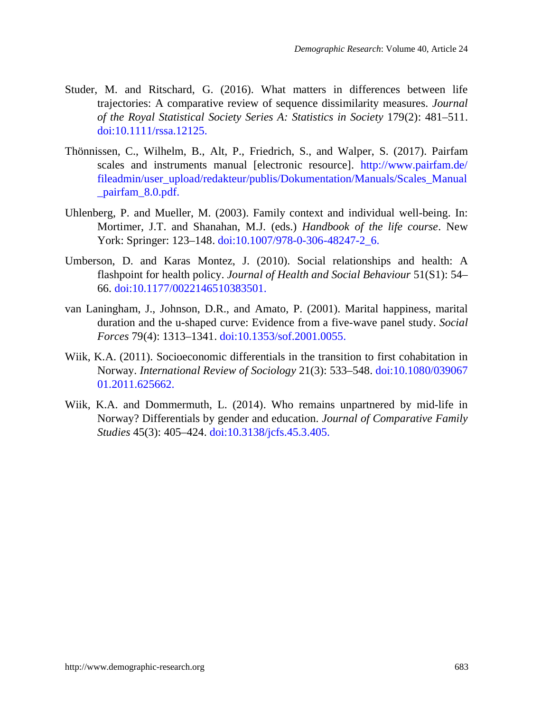- Studer, M. and Ritschard, G. (2016). What matters in differences between life trajectories: A comparative review of sequence dissimilarity measures. *Journal of the Royal Statistical Society Series A: Statistics in Society* 179(2): 481–511. [doi:10.1111/rssa.12125.](https://doi.org/10.1111/rssa.12125)
- Thönnissen, C., Wilhelm, B., Alt, P., Friedrich, S., and Walper, S. (2017). Pairfam scales and instruments manual [electronic resource]. [http://www.pairfam.de/](http://www.pairfam.de/fileadmin/user_upload/redakteur/publis/Dokumentation/Manuals/Scales_Manual_pairfam_8.0.pdf) [fileadmin/user\\_upload/redakteur/publis/Dokumentation/Manuals/Scales\\_Manual](http://www.pairfam.de/fileadmin/user_upload/redakteur/publis/Dokumentation/Manuals/Scales_Manual_pairfam_8.0.pdf) pairfam 8.0.pdf.
- Uhlenberg, P. and Mueller, M. (2003). Family context and individual well-being. In: Mortimer, J.T. and Shanahan, M.J. (eds.) *Handbook of the life course*. New York: Springer: 123–148. [doi:10.1007/978-0-306-48247-2\\_6.](https://doi.org/10.1007/978-0-306-48247-2_6)
- Umberson, D. and Karas Montez, J. (2010). Social relationships and health: A flashpoint for health policy. *Journal of Health and Social Behaviour* 51(S1): 54– 66. [doi:10.1177/0022146510383501.](https://doi.org/10.1177/0022146510383501)
- van Laningham, J., Johnson, D.R., and Amato, P. (2001). Marital happiness, marital duration and the u-shaped curve: Evidence from a five-wave panel study. *Social Forces* 79(4): 1313–1341. [doi:10.1353/sof.2001.0055.](http://doi.org/10.1353/sof.2001.0055)
- Wiik, K.A. (2011). Socioeconomic differentials in the transition to first cohabitation in Norway. *International Review of Sociology* 21(3): 533–548. [doi:10.1080/039067](https://doi.org/10.1080/03906701.2011.625662) [01.2011.625662.](https://doi.org/10.1080/03906701.2011.625662)
- Wiik, K.A. and Dommermuth, L. (2014). Who remains unpartnered by mid-life in Norway? Differentials by gender and education. *Journal of Comparative Family Studies* 45(3): 405–424. [doi:10.3138/jcfs.45.3.405.](https://doi.org/10.3138/jcfs.45.3.405)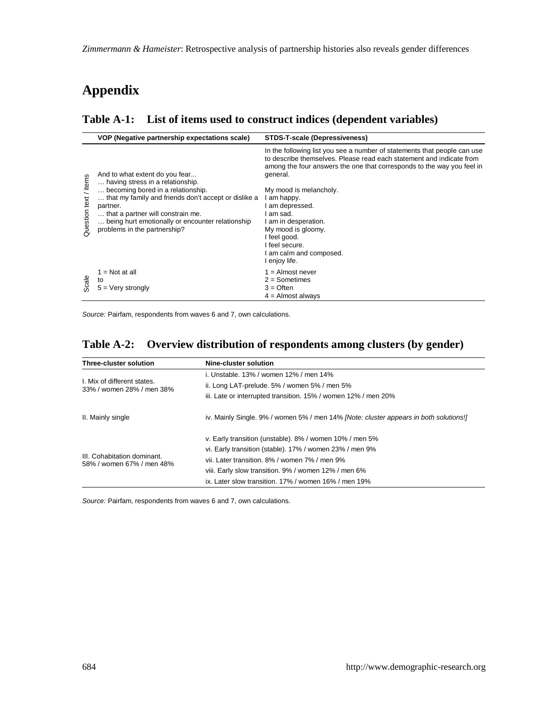# **Appendix**

#### **Table A-1: List of items used to construct indices (dependent variables)**

|                       | VOP (Negative partnership expectations scale)                      | STDS-T-scale (Depressiveness)                                                                                                                                                                                                          |
|-----------------------|--------------------------------------------------------------------|----------------------------------------------------------------------------------------------------------------------------------------------------------------------------------------------------------------------------------------|
| Question text / items | And to what extent do you fear<br>having stress in a relationship. | In the following list you see a number of statements that people can use<br>to describe themselves. Please read each statement and indicate from<br>among the four answers the one that corresponds to the way you feel in<br>general. |
|                       | becoming bored in a relationship.                                  | My mood is melancholy.                                                                                                                                                                                                                 |
|                       | that my family and friends don't accept or dislike a               | I am happy.                                                                                                                                                                                                                            |
|                       | partner.                                                           | l am depressed.                                                                                                                                                                                                                        |
|                       | that a partner will constrain me.                                  | I am sad.                                                                                                                                                                                                                              |
|                       | being hurt emotionally or encounter relationship                   | I am in desperation.                                                                                                                                                                                                                   |
|                       | problems in the partnership?                                       | My mood is gloomy.                                                                                                                                                                                                                     |
|                       |                                                                    | I feel good.                                                                                                                                                                                                                           |
|                       |                                                                    | I feel secure.                                                                                                                                                                                                                         |
|                       |                                                                    | I am calm and composed.                                                                                                                                                                                                                |
|                       |                                                                    | I enjoy life.                                                                                                                                                                                                                          |
|                       | $1 = Not at all$                                                   | $1 =$ Almost never                                                                                                                                                                                                                     |
| Scale                 | to                                                                 | $2 =$ Sometimes                                                                                                                                                                                                                        |
|                       | $5 =$ Very strongly                                                | $3 =$ Often                                                                                                                                                                                                                            |
|                       |                                                                    | $4 =$ Almost always                                                                                                                                                                                                                    |

*Source:* Pairfam, respondents from waves 6 and 7, own calculations.

### **Table A-2: Overview distribution of respondents among clusters (by gender)**

| Three-cluster solution                                   | Nine-cluster solution                                                                 |  |  |  |  |  |
|----------------------------------------------------------|---------------------------------------------------------------------------------------|--|--|--|--|--|
|                                                          | i. Unstable, 13% / women 12% / men 14%                                                |  |  |  |  |  |
| I. Mix of different states.<br>33% / women 28% / men 38% | ii. Long LAT-prelude. 5% / women 5% / men 5%                                          |  |  |  |  |  |
|                                                          | iii. Late or interrupted transition. 15% / women 12% / men 20%                        |  |  |  |  |  |
| II. Mainly single                                        | iv. Mainly Single. 9% / women 5% / men 14% [Note: cluster appears in both solutions!] |  |  |  |  |  |
|                                                          | v. Early transition (unstable). 8% / women 10% / men 5%                               |  |  |  |  |  |
|                                                          | vi. Early transition (stable). 17% / women 23% / men 9%                               |  |  |  |  |  |
| III. Cohabitation dominant.<br>58% / women 67% / men 48% | vii. Later transition, 8% / women 7% / men 9%                                         |  |  |  |  |  |
|                                                          | viii. Early slow transition. 9% / women 12% / men 6%                                  |  |  |  |  |  |
|                                                          | ix. Later slow transition. 17% / women 16% / men 19%                                  |  |  |  |  |  |

*Source:* Pairfam, respondents from waves 6 and 7, own calculations.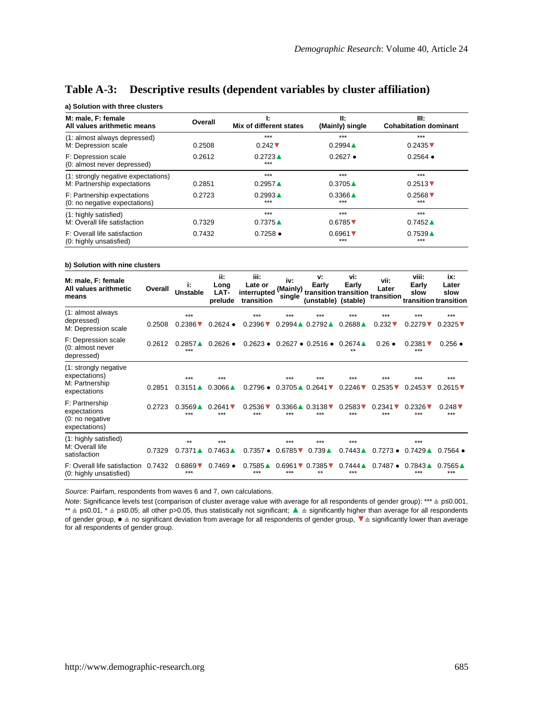| a, ooraaon wan an oo oraoac o                           |         |                             |                                        |                               |
|---------------------------------------------------------|---------|-----------------------------|----------------------------------------|-------------------------------|
| M: male. F: female                                      | Overall | Ŀ                           | H:                                     | III:                          |
| All values arithmetic means                             |         | Mix of different states     | (Mainly) single                        | <b>Cohabitation dominant</b>  |
| (1: almost always depressed)                            | 0.2508  | $***$                       | $***$                                  | $***$                         |
| M: Depression scale                                     |         | $0.242$ $\nabla$            | $0.2994 \triangle$                     | $0.2435$ $\blacktriangledown$ |
| F: Depression scale<br>(0: almost never depressed)      | 0.2612  | $0.2723 \triangle$<br>$***$ | $0.2627$ $\bullet$                     | $0.2564$ $\bullet$            |
| (1: strongly negative expectations)                     | 0.2851  | $***$                       | $***$                                  | $***$                         |
| M: Partnership expectations                             |         | $0.2957 \triangle$          | $0.3705 \triangle$                     | $0.2513$ $\nabla$             |
| F: Partnership expectations                             | 0.2723  | $0.2993 \triangle$          | $0.3366 \triangle$                     | $0.2568$ $\blacktriangledown$ |
| (0: no negative expectations)                           |         | $***$                       | $***$                                  | $***$                         |
| (1: highly satisfied)                                   | 0.7329  | $***$                       | $***$                                  | $***$                         |
| M: Overall life satisfaction                            |         | $0.7375 \triangle$          | $0.6785$ $\blacktriangledown$          | $0.7452 \triangle$            |
| F: Overall life satisfaction<br>(0: highly unsatisfied) | 0.7432  | $0.7258 \bullet$            | $0.6961$ $\blacktriangledown$<br>$***$ | $0.7539 \triangle$<br>$***$   |

#### **Table A-3: Descriptive results (dependent variables by cluster affiliation)**

#### **b) Solution with nine clusters**

**a) Solution with three clusters**

| M: male, F: female<br>All values arithmetic<br>means                     | Overall | i:<br><b>Unstable</b>                  | ii:<br>Long<br>LAT-<br>prelude    | iii:<br>Late or<br>interrupted<br>transition | iv:<br>(Mainly)<br>single            | v:<br>Early<br>transition transition transition<br>(unstable) (stable) | vi:<br>Early                         | vii:<br>Later                        | viii:<br>Early<br>slow               | ix:<br>Later<br>slow<br>transition transition |
|--------------------------------------------------------------------------|---------|----------------------------------------|-----------------------------------|----------------------------------------------|--------------------------------------|------------------------------------------------------------------------|--------------------------------------|--------------------------------------|--------------------------------------|-----------------------------------------------|
| (1: almost always<br>depressed)<br>M: Depression scale                   | 0.2508  | $***$<br>$0.2386$ $\blacktriangledown$ | $0.2624$ $\bullet$                | $***$<br>$0.2396$ $\nabla$                   | ***                                  | ***<br>$0.2994 \triangle 0.2792 \triangle$                             | ***<br>$0.2688 \triangle$            | $***$<br>$0.232$ $\sqrt{ }$          | ***<br>$0.2279$ $\nabla$             | $***$<br>$0.2325$ $\triangledown$             |
| F: Depression scale<br>(0: almost never<br>depressed)                    | 0.2612  | $0.2857$ $\triangle$<br>$***$          | $0.2626$ $\bullet$                | $0.2623 \bullet$                             |                                      | $0.2627 \bullet 0.2516 \bullet 0.2674 \bullet$                         | $**$                                 | $0.26 \bullet$                       | $0.2381$ $\nabla$<br>***             | $0.256$ $\bullet$                             |
| (1: strongly negative<br>expectations)<br>M: Partnership<br>expectations | 0.2851  | ***<br>$0.3151 \triangle$              | $***$<br>$0.3066 \triangle$       | $0.2796$ $\bullet$                           | ***                                  | ***<br>$0.3705 \triangle 0.2641$ $\triangledown$                       | ***<br>$0.2246$ $\triangledown$      | ***<br>$0.2535$ $\blacktriangledown$ | ***<br>$0.2453$ $\triangledown$      | $***$<br>$0.2615$ $\nabla$                    |
| F: Partnership<br>expectations<br>(0: no negative<br>expectations)       | 0.2723  | $0.3569 \triangle$<br>***              | $0.2641$ $\triangledown$<br>$***$ | $0.2536$ V<br>$***$                          | $0.3366 \triangle$<br>***            | $0.3138$ $\triangledown$<br>***                                        | $0.2583$ $\blacktriangledown$<br>*** | $0.2341$ $\sqrt{ }$<br>***           | $0.2326$ $\blacktriangledown$<br>*** | $0.248$ $\triangledown$<br>$***$              |
| (1: highly satisfied)<br>M: Overall life<br>satisfaction                 | 0.7329  | $***$<br>$0.7371 \triangle$            | $***$<br>$0.7463 \triangle$       | $0.7357$ $\bullet$                           | ***<br>$0.6785$ $\triangledown$      | ***<br>$0.739 \triangle$                                               | ***<br>$0.7443 \triangle$            | $0.7273 \bullet$                     | ***<br>$0.7429 \triangle$            | $0.7564$ $\bullet$                            |
| F: Overall life satisfaction<br>(0: highly unsatisfied)                  | 0.7432  | $0.6869$ $\blacktriangledown$<br>***   | $0.7469 \bullet$                  | $0.7585 \triangle$<br>***                    | $0.6961$ $\blacktriangledown$<br>*** | $0.7385$ $\blacktriangledown$<br>**                                    | $0.7444 \triangle$<br>***            | $0.7487 \bullet$                     | $0.7843 \triangle$<br>***            | $0.7565 \triangle$<br>$***$                   |

*Source:* Pairfam, respondents from waves 6 and 7, own calculations.

*Note*: Significance levels test (comparison of cluster average value with average for all respondents of gender group): \*\*\* ≙ p≤0.001, \*\* ≙ p≤0.01, \* ≙ p≤0.05; all other p>0.05, thus statistically not significant; ▲ ≙ significantly higher than average for all respondents of gender group, ● ≙ no significant deviation from average for all respondents of gender group, ▼≙ significantly lower than average for all respondents of gender group.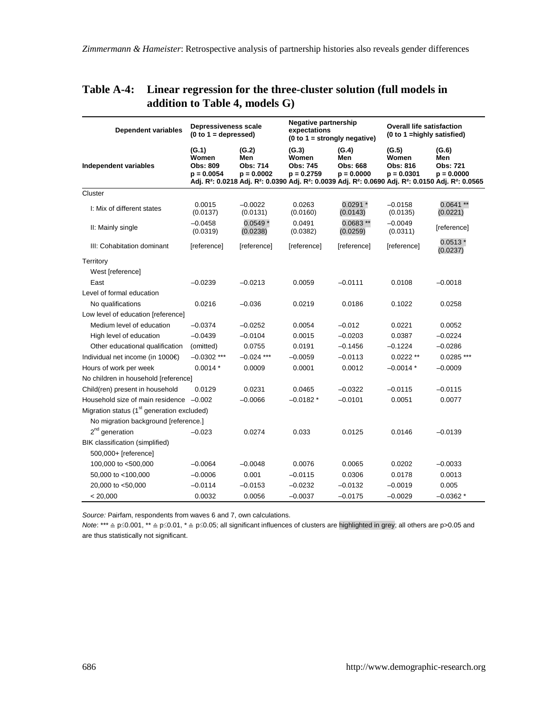| <b>Dependent variables</b>                             | Depressiveness scale<br>$(0 to 1 = \text{depressed})$ |                                          | Negative partnership<br>expectations       | $(0 to 1 = strongly negative)$           | <b>Overall life satisfaction</b><br>(0 to 1 = highly satisfied) |                                                                                                                                                                                                                                  |  |
|--------------------------------------------------------|-------------------------------------------------------|------------------------------------------|--------------------------------------------|------------------------------------------|-----------------------------------------------------------------|----------------------------------------------------------------------------------------------------------------------------------------------------------------------------------------------------------------------------------|--|
| Independent variables                                  | (G.1)<br>Women<br>Obs: 809<br>$p = 0.0054$            | (G.2)<br>Men<br>Obs: 714<br>$p = 0.0002$ | (G.3)<br>Women<br>Obs: 745<br>$p = 0.2759$ | (G.4)<br>Men<br>Obs: 668<br>$p = 0.0000$ | (G.5)<br>Women<br>Obs: 816<br>$p = 0.0301$                      | (G.6)<br>Men<br><b>Obs: 721</b><br>$p = 0.0000$<br>Adj. R <sup>2</sup> : 0.0218 Adj. R <sup>2</sup> : 0.0390 Adj. R <sup>2</sup> : 0.0039 Adj. R <sup>2</sup> : 0.0690 Adj. R <sup>2</sup> : 0.0150 Adj. R <sup>2</sup> : 0.0565 |  |
| Cluster                                                |                                                       |                                          |                                            |                                          |                                                                 |                                                                                                                                                                                                                                  |  |
| I: Mix of different states                             | 0.0015<br>(0.0137)                                    | $-0.0022$<br>(0.0131)                    | 0.0263<br>(0.0160)                         | $0.0291*$<br>(0.0143)                    | $-0.0158$<br>(0.0135)                                           | $0.0641**$<br>(0.0221)                                                                                                                                                                                                           |  |
| II: Mainly single                                      | $-0.0458$<br>(0.0319)                                 | $0.0549*$<br>(0.0238)                    | 0.0491<br>(0.0382)                         | $0.0683**$<br>(0.0259)                   | $-0.0049$<br>(0.0311)                                           | [reference]                                                                                                                                                                                                                      |  |
| III: Cohabitation dominant                             | [reference]                                           | [reference]                              | [reference]                                | [reference]                              | [reference]                                                     | $0.0513*$<br>(0.0237)                                                                                                                                                                                                            |  |
| Territory                                              |                                                       |                                          |                                            |                                          |                                                                 |                                                                                                                                                                                                                                  |  |
| West [reference]                                       |                                                       |                                          |                                            |                                          |                                                                 |                                                                                                                                                                                                                                  |  |
| East                                                   | $-0.0239$                                             | $-0.0213$                                | 0.0059                                     | $-0.0111$                                | 0.0108                                                          | $-0.0018$                                                                                                                                                                                                                        |  |
| Level of formal education                              |                                                       |                                          |                                            |                                          |                                                                 |                                                                                                                                                                                                                                  |  |
| No qualifications                                      | 0.0216                                                | $-0.036$                                 | 0.0219                                     | 0.0186                                   | 0.1022                                                          | 0.0258                                                                                                                                                                                                                           |  |
| Low level of education [reference]                     |                                                       |                                          |                                            |                                          |                                                                 |                                                                                                                                                                                                                                  |  |
| Medium level of education                              | $-0.0374$                                             | $-0.0252$                                | 0.0054                                     | $-0.012$                                 | 0.0221                                                          | 0.0052                                                                                                                                                                                                                           |  |
| High level of education                                | $-0.0439$                                             | $-0.0104$                                | 0.0015                                     | $-0.0203$                                | 0.0387                                                          | $-0.0224$                                                                                                                                                                                                                        |  |
| Other educational qualification                        | (omitted)                                             | 0.0755                                   | 0.0191                                     | $-0.1456$                                | $-0.1224$                                                       | $-0.0286$                                                                                                                                                                                                                        |  |
| Individual net income (in 1000€)                       | $-0.0302$ ***                                         | $-0.024$ ***                             | $-0.0059$                                  | $-0.0113$                                | $0.0222**$                                                      | $0.0285$ ***                                                                                                                                                                                                                     |  |
| Hours of work per week                                 | $0.0014*$                                             | 0.0009                                   | 0.0001                                     | 0.0012                                   | $-0.0014*$                                                      | $-0.0009$                                                                                                                                                                                                                        |  |
| No children in household [reference]                   |                                                       |                                          |                                            |                                          |                                                                 |                                                                                                                                                                                                                                  |  |
| Child(ren) present in household                        | 0.0129                                                | 0.0231                                   | 0.0465                                     | $-0.0322$                                | $-0.0115$                                                       | $-0.0115$                                                                                                                                                                                                                        |  |
| Household size of main residence -0.002                |                                                       | $-0.0066$                                | $-0.0182*$                                 | $-0.0101$                                | 0.0051                                                          | 0.0077                                                                                                                                                                                                                           |  |
| Migration status (1 <sup>st</sup> generation excluded) |                                                       |                                          |                                            |                                          |                                                                 |                                                                                                                                                                                                                                  |  |
| No migration background [reference.]                   |                                                       |                                          |                                            |                                          |                                                                 |                                                                                                                                                                                                                                  |  |
| $2nd$ generation                                       | $-0.023$                                              | 0.0274                                   | 0.033                                      | 0.0125                                   | 0.0146                                                          | $-0.0139$                                                                                                                                                                                                                        |  |
| BIK classification (simplified)                        |                                                       |                                          |                                            |                                          |                                                                 |                                                                                                                                                                                                                                  |  |
| 500,000+ [reference]                                   |                                                       |                                          |                                            |                                          |                                                                 |                                                                                                                                                                                                                                  |  |
| 100,000 to <500,000                                    | $-0.0064$                                             | $-0.0048$                                | 0.0076                                     | 0.0065                                   | 0.0202                                                          | $-0.0033$                                                                                                                                                                                                                        |  |
| 50,000 to <100,000                                     | $-0.0006$                                             | 0.001                                    | $-0.0115$                                  | 0.0306                                   | 0.0178                                                          | 0.0013                                                                                                                                                                                                                           |  |
| 20,000 to <50,000                                      | $-0.0114$                                             | $-0.0153$                                | $-0.0232$                                  | $-0.0132$                                | $-0.0019$                                                       | 0.005                                                                                                                                                                                                                            |  |
| < 20,000                                               | 0.0032                                                | 0.0056                                   | $-0.0037$                                  | $-0.0175$                                | $-0.0029$                                                       | $-0.0362*$                                                                                                                                                                                                                       |  |

### **Table A-4: Linear regression for the three-cluster solution (full models in addition to Table 4, models G)**

*Source:* Pairfam, respondents from waves 6 and 7, own calculations.

*Note*: \*\*\* ≙ p≤0.001, \*\* ≙ p≤0.01, \* ≙ p≤0.05; all significant influences of clusters are highlighted in grey; all others are p>0.05 and are thus statistically not significant.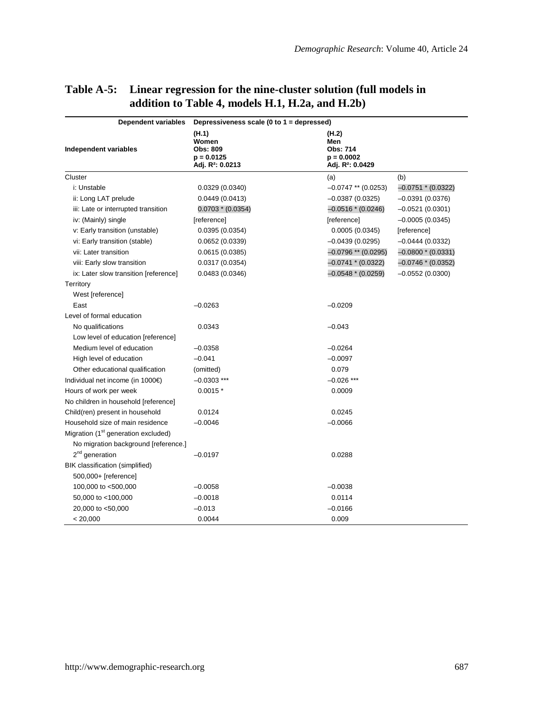| Dependent variables                             | Depressiveness scale (0 to 1 = depressed)                                         |                                                                          |                      |  |  |  |  |  |
|-------------------------------------------------|-----------------------------------------------------------------------------------|--------------------------------------------------------------------------|----------------------|--|--|--|--|--|
| Independent variables                           | (H.1)<br>Women<br><b>Obs: 809</b><br>$p = 0.0125$<br>Adj. R <sup>2</sup> : 0.0213 | (H.2)<br>Men<br>Obs: 714<br>$p = 0.0002$<br>Adj. R <sup>2</sup> : 0.0429 |                      |  |  |  |  |  |
| Cluster                                         |                                                                                   | (a)                                                                      | (b)                  |  |  |  |  |  |
| i: Unstable                                     | 0.0329(0.0340)                                                                    | $-0.0747$ ** (0.0253)                                                    | $-0.0751 * (0.0322)$ |  |  |  |  |  |
| ii: Long LAT prelude                            | 0.0449(0.0413)                                                                    | $-0.0387(0.0325)$                                                        | $-0.0391(0.0376)$    |  |  |  |  |  |
| iii: Late or interrupted transition             | $0.0703 * (0.0354)$                                                               | $-0.0516*(0.0246)$                                                       | $-0.0521(0.0301)$    |  |  |  |  |  |
| iv: (Mainly) single                             | [reference]                                                                       | [reference]                                                              | $-0.0005(0.0345)$    |  |  |  |  |  |
| v: Early transition (unstable)                  | 0.0395(0.0354)                                                                    | 0.0005(0.0345)                                                           | [reference]          |  |  |  |  |  |
| vi: Early transition (stable)                   | 0.0652(0.0339)                                                                    | $-0.0439(0.0295)$                                                        | $-0.0444(0.0332)$    |  |  |  |  |  |
| vii: Later transition                           | 0.0615(0.0385)                                                                    | $-0.0796$ ** (0.0295)                                                    | $-0.0800*(0.0331)$   |  |  |  |  |  |
| viii: Early slow transition                     | 0.0317(0.0354)                                                                    | $-0.0741 * (0.0322)$                                                     | $-0.0746*(0.0352)$   |  |  |  |  |  |
| ix: Later slow transition [reference]           | 0.0483(0.0346)                                                                    | $-0.0548 * (0.0259)$                                                     | $-0.0552(0.0300)$    |  |  |  |  |  |
| Territory                                       |                                                                                   |                                                                          |                      |  |  |  |  |  |
| West [reference]                                |                                                                                   |                                                                          |                      |  |  |  |  |  |
| East                                            | $-0.0263$                                                                         | $-0.0209$                                                                |                      |  |  |  |  |  |
| Level of formal education                       |                                                                                   |                                                                          |                      |  |  |  |  |  |
| No qualifications                               | 0.0343                                                                            | $-0.043$                                                                 |                      |  |  |  |  |  |
| Low level of education [reference]              |                                                                                   |                                                                          |                      |  |  |  |  |  |
| Medium level of education                       | $-0.0358$                                                                         | $-0.0264$                                                                |                      |  |  |  |  |  |
| High level of education                         | $-0.041$                                                                          | $-0.0097$                                                                |                      |  |  |  |  |  |
| Other educational qualification                 | (omitted)                                                                         | 0.079                                                                    |                      |  |  |  |  |  |
| Individual net income (in 1000€)                | $-0.0303$ ***                                                                     | $-0.026$ ***                                                             |                      |  |  |  |  |  |
| Hours of work per week                          | $0.0015*$                                                                         | 0.0009                                                                   |                      |  |  |  |  |  |
| No children in household [reference]            |                                                                                   |                                                                          |                      |  |  |  |  |  |
| Child(ren) present in household                 | 0.0124                                                                            | 0.0245                                                                   |                      |  |  |  |  |  |
| Household size of main residence                | $-0.0046$                                                                         | $-0.0066$                                                                |                      |  |  |  |  |  |
| Migration (1 <sup>st</sup> generation excluded) |                                                                                   |                                                                          |                      |  |  |  |  |  |
| No migration background [reference.]            |                                                                                   |                                                                          |                      |  |  |  |  |  |
| 2 <sup>nd</sup> generation                      | $-0.0197$                                                                         | 0.0288                                                                   |                      |  |  |  |  |  |
| BIK classification (simplified)                 |                                                                                   |                                                                          |                      |  |  |  |  |  |
| 500,000+ [reference]                            |                                                                                   |                                                                          |                      |  |  |  |  |  |
| 100,000 to <500,000                             | $-0.0058$                                                                         | $-0.0038$                                                                |                      |  |  |  |  |  |
| 50,000 to <100,000                              | $-0.0018$                                                                         | 0.0114                                                                   |                      |  |  |  |  |  |
| 20,000 to <50,000                               | $-0.013$                                                                          | $-0.0166$                                                                |                      |  |  |  |  |  |
| < 20,000                                        | 0.0044                                                                            | 0.009                                                                    |                      |  |  |  |  |  |

### **Table A-5: Linear regression for the nine-cluster solution (full models in addition to Table 4, models H.1, H.2a, and H.2b)**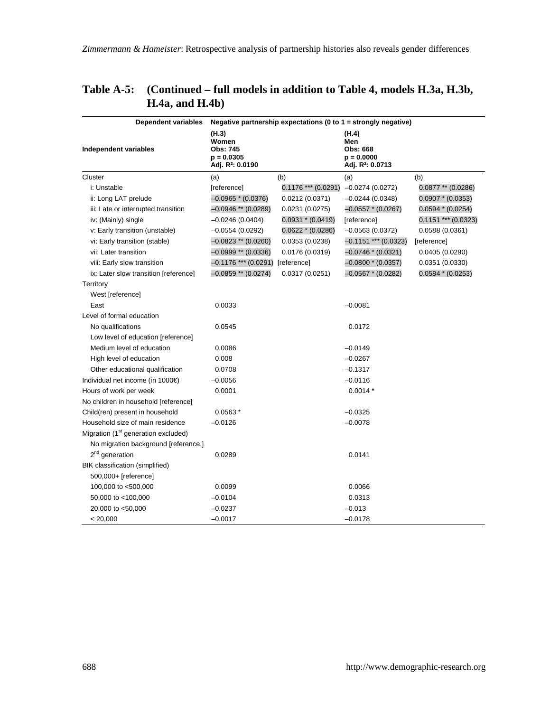| <b>Dependent variables</b>                      | Negative partnership expectations (0 to $1 =$ strongly negative)                  |                       |                                                                          |                       |  |  |  |
|-------------------------------------------------|-----------------------------------------------------------------------------------|-----------------------|--------------------------------------------------------------------------|-----------------------|--|--|--|
| Independent variables                           | (H.3)<br>Women<br><b>Obs: 745</b><br>$p = 0.0305$<br>Adj. R <sup>2</sup> : 0.0190 |                       | (H.4)<br>Men<br>Obs: 668<br>$p = 0.0000$<br>Adj. R <sup>2</sup> : 0.0713 |                       |  |  |  |
| Cluster                                         | (a)                                                                               | (b)                   | (a)                                                                      | (b)                   |  |  |  |
| i: Unstable                                     | [reference]                                                                       | $0.1176$ *** (0.0291) | $-0.0274(0.0272)$                                                        | $0.0877**$ (0.0286)   |  |  |  |
| ii: Long LAT prelude                            | $-0.0965*(0.0376)$                                                                | 0.0212(0.0371)        | $-0.0244(0.0348)$                                                        | $0.0907 * (0.0353)$   |  |  |  |
| iii: Late or interrupted transition             | $-0.0946$ ** (0.0289)                                                             | 0.0231(0.0275)        | $-0.0557*(0.0267)$                                                       | $0.0594 * (0.0254)$   |  |  |  |
| iv: (Mainly) single                             | $-0.0246(0.0404)$                                                                 | $0.0931 * (0.0419)$   | [reference]                                                              | $0.1151$ *** (0.0323) |  |  |  |
| v: Early transition (unstable)                  | $-0.0554(0.0292)$                                                                 | $0.0622 * (0.0286)$   | $-0.0563(0.0372)$                                                        | 0.0588 (0.0361)       |  |  |  |
| vi: Early transition (stable)                   | $-0.0823$ ** (0.0260)                                                             | 0.0353(0.0238)        | $-0.1151$ *** (0.0323)                                                   | [reference]           |  |  |  |
| vii: Later transition                           | $-0.0999$ ** (0.0336)                                                             | 0.0176 (0.0319)       | $-0.0746*(0.0321)$                                                       | 0.0405(0.0290)        |  |  |  |
| viii: Early slow transition                     | $-0.1176$ *** (0.0291) [reference]                                                |                       | $-0.0800*(0.0357)$                                                       | 0.0351 (0.0330)       |  |  |  |
| ix: Later slow transition [reference]           | $-0.0859$ ** (0.0274)                                                             | 0.0317(0.0251)        | $-0.0567$ * (0.0282)                                                     | $0.0584 * (0.0253)$   |  |  |  |
| Territory                                       |                                                                                   |                       |                                                                          |                       |  |  |  |
| West [reference]                                |                                                                                   |                       |                                                                          |                       |  |  |  |
| East                                            | 0.0033                                                                            |                       | $-0.0081$                                                                |                       |  |  |  |
| Level of formal education                       |                                                                                   |                       |                                                                          |                       |  |  |  |
| No qualifications                               | 0.0545                                                                            |                       | 0.0172                                                                   |                       |  |  |  |
| Low level of education [reference]              |                                                                                   |                       |                                                                          |                       |  |  |  |
| Medium level of education                       | 0.0086                                                                            |                       | $-0.0149$                                                                |                       |  |  |  |
| High level of education                         | 0.008                                                                             |                       | $-0.0267$                                                                |                       |  |  |  |
| Other educational qualification                 | 0.0708                                                                            |                       | $-0.1317$                                                                |                       |  |  |  |
| Individual net income (in 1000€)                | $-0.0056$                                                                         |                       | $-0.0116$                                                                |                       |  |  |  |
| Hours of work per week                          | 0.0001                                                                            |                       | $0.0014*$                                                                |                       |  |  |  |
| No children in household [reference]            |                                                                                   |                       |                                                                          |                       |  |  |  |
| Child(ren) present in household                 | $0.0563*$                                                                         |                       | $-0.0325$                                                                |                       |  |  |  |
| Household size of main residence                | $-0.0126$                                                                         |                       | $-0.0078$                                                                |                       |  |  |  |
| Migration (1 <sup>st</sup> generation excluded) |                                                                                   |                       |                                                                          |                       |  |  |  |
| No migration background [reference.]            |                                                                                   |                       |                                                                          |                       |  |  |  |
| 2 <sup>nd</sup> generation                      | 0.0289                                                                            |                       | 0.0141                                                                   |                       |  |  |  |
| BIK classification (simplified)                 |                                                                                   |                       |                                                                          |                       |  |  |  |
| 500,000+ [reference]                            |                                                                                   |                       |                                                                          |                       |  |  |  |
| 100,000 to <500,000                             | 0.0099                                                                            |                       | 0.0066                                                                   |                       |  |  |  |
| 50,000 to <100,000                              | $-0.0104$                                                                         |                       | 0.0313                                                                   |                       |  |  |  |
| 20,000 to <50,000                               | $-0.0237$                                                                         |                       | $-0.013$                                                                 |                       |  |  |  |
| < 20,000                                        | $-0.0017$                                                                         |                       | $-0.0178$                                                                |                       |  |  |  |

### **Table A-5: (Continued – full models in addition to Table 4, models H.3a, H.3b, H.4a, and H.4b)**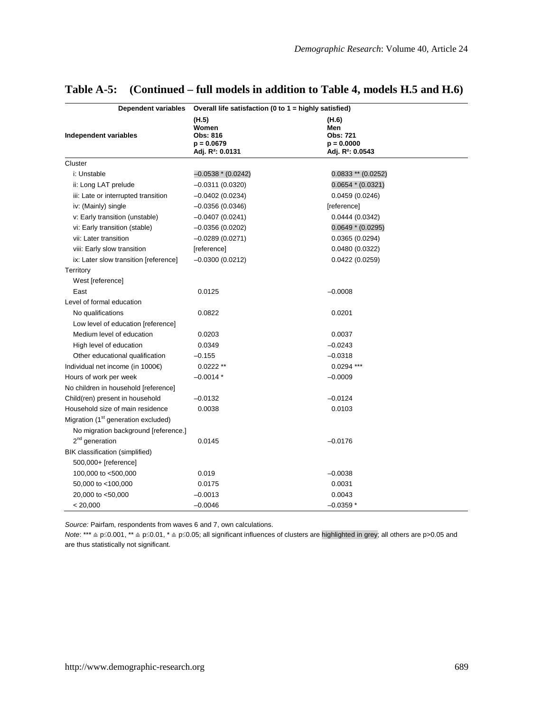| Dependent variables                             | Overall life satisfaction (0 to 1 = highly satisfied)                              |                                                                          |  |  |  |  |
|-------------------------------------------------|------------------------------------------------------------------------------------|--------------------------------------------------------------------------|--|--|--|--|
| Independent variables                           | (11.5)<br>Women<br><b>Obs: 816</b><br>$p = 0.0679$<br>Adj. R <sup>2</sup> : 0.0131 | (H.6)<br>Men<br>Obs: 721<br>$p = 0.0000$<br>Adj. R <sup>2</sup> : 0.0543 |  |  |  |  |
| Cluster                                         |                                                                                    |                                                                          |  |  |  |  |
| i: Unstable                                     | $-0.0538 * (0.0242)$                                                               | $0.0833**$ (0.0252)                                                      |  |  |  |  |
| ii: Long LAT prelude                            | $-0.0311(0.0320)$                                                                  | $0.0654 * (0.0321)$                                                      |  |  |  |  |
| iii: Late or interrupted transition             | $-0.0402(0.0234)$                                                                  | 0.0459(0.0246)                                                           |  |  |  |  |
| iv: (Mainly) single                             | $-0.0356(0.0346)$                                                                  | [reference]                                                              |  |  |  |  |
| v: Early transition (unstable)                  | $-0.0407(0.0241)$                                                                  | 0.0444(0.0342)                                                           |  |  |  |  |
| vi: Early transition (stable)                   | $-0.0356(0.0202)$                                                                  | $0.0649 * (0.0295)$                                                      |  |  |  |  |
| vii: Later transition                           | $-0.0289(0.0271)$                                                                  | 0.0365(0.0294)                                                           |  |  |  |  |
| viii: Early slow transition                     | [reference]                                                                        | 0.0480 (0.0322)                                                          |  |  |  |  |
| ix: Later slow transition [reference]           | $-0.0300(0.0212)$                                                                  | 0.0422(0.0259)                                                           |  |  |  |  |
| Territory                                       |                                                                                    |                                                                          |  |  |  |  |
| West [reference]                                |                                                                                    |                                                                          |  |  |  |  |
| East                                            | 0.0125                                                                             | $-0.0008$                                                                |  |  |  |  |
| Level of formal education                       |                                                                                    |                                                                          |  |  |  |  |
| No qualifications                               | 0.0822                                                                             | 0.0201                                                                   |  |  |  |  |
| Low level of education [reference]              |                                                                                    |                                                                          |  |  |  |  |
| Medium level of education                       | 0.0203                                                                             | 0.0037                                                                   |  |  |  |  |
| High level of education                         | 0.0349                                                                             | $-0.0243$                                                                |  |  |  |  |
| Other educational qualification                 | $-0.155$                                                                           | $-0.0318$                                                                |  |  |  |  |
| Individual net income (in 1000€)                | $0.0222**$                                                                         | $0.0294$ ***                                                             |  |  |  |  |
| Hours of work per week                          | $-0.0014*$                                                                         | $-0.0009$                                                                |  |  |  |  |
| No children in household [reference]            |                                                                                    |                                                                          |  |  |  |  |
| Child(ren) present in household                 | $-0.0132$                                                                          | $-0.0124$                                                                |  |  |  |  |
| Household size of main residence                | 0.0038                                                                             | 0.0103                                                                   |  |  |  |  |
| Migration (1 <sup>st</sup> generation excluded) |                                                                                    |                                                                          |  |  |  |  |
| No migration background [reference.]            |                                                                                    |                                                                          |  |  |  |  |
| $2nd$ generation                                | 0.0145                                                                             | $-0.0176$                                                                |  |  |  |  |
| BIK classification (simplified)                 |                                                                                    |                                                                          |  |  |  |  |
| 500,000+ [reference]                            |                                                                                    |                                                                          |  |  |  |  |
| 100,000 to <500,000                             | 0.019                                                                              | $-0.0038$                                                                |  |  |  |  |
| 50,000 to <100,000                              | 0.0175                                                                             | 0.0031                                                                   |  |  |  |  |
| 20,000 to <50,000                               | $-0.0013$                                                                          | 0.0043                                                                   |  |  |  |  |
| < 20,000                                        | $-0.0046$                                                                          | $-0.0359*$                                                               |  |  |  |  |

### **Table A-5: (Continued – full models in addition to Table 4, models H.5 and H.6)**

*Source:* Pairfam, respondents from waves 6 and 7, own calculations.

*Note*: \*\*\* ≙ p≤0.001, \*\* ≙ p≤0.01, \* ≙ p≤0.05; all significant influences of clusters are highlighted in grey; all others are p>0.05 and are thus statistically not significant.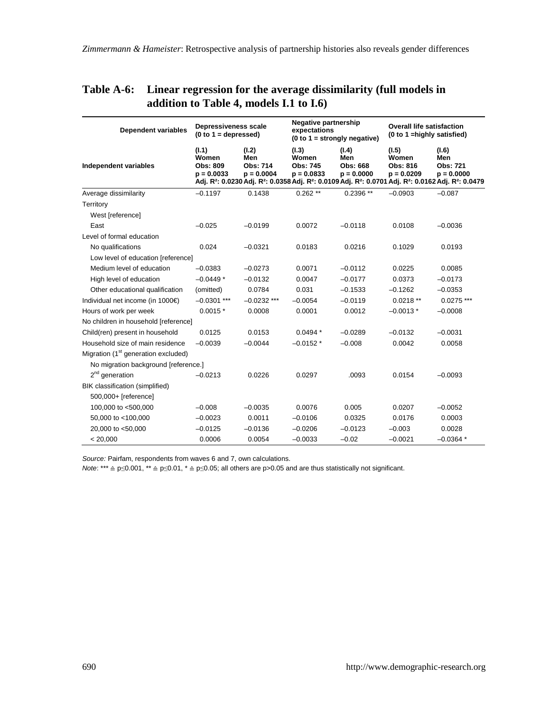| <b>Dependent variables</b>                      | Depressiveness scale<br>$(0 to 1 = depressed)$    |                                          | Negative partnership<br>expectations              | $(0 to 1 = strongly negative)$           | <b>Overall life satisfaction</b><br>(0 to 1 = highly satisfied) |                                                                                                                                                                                                                                  |
|-------------------------------------------------|---------------------------------------------------|------------------------------------------|---------------------------------------------------|------------------------------------------|-----------------------------------------------------------------|----------------------------------------------------------------------------------------------------------------------------------------------------------------------------------------------------------------------------------|
| Independent variables                           | (I.1)<br>Women<br><b>Obs: 809</b><br>$p = 0.0033$ | (I.2)<br>Men<br>Obs: 714<br>$p = 0.0004$ | (I.3)<br>Women<br><b>Obs: 745</b><br>$p = 0.0833$ | (I.4)<br>Men<br>Obs: 668<br>$p = 0.0000$ | (I.5)<br>Women<br>Obs: 816<br>$p = 0.0209$                      | (I.6)<br>Men<br><b>Obs: 721</b><br>$p = 0.0000$<br>Adj. R <sup>2</sup> : 0.0230 Adj. R <sup>2</sup> : 0.0358 Adj. R <sup>2</sup> : 0.0109 Adj. R <sup>2</sup> : 0.0701 Adj. R <sup>2</sup> : 0.0162 Adj. R <sup>2</sup> : 0.0479 |
| Average dissimilarity                           | $-0.1197$                                         | 0.1438                                   | $0.262**$                                         | $0.2396**$                               | $-0.0903$                                                       | $-0.087$                                                                                                                                                                                                                         |
| Territory                                       |                                                   |                                          |                                                   |                                          |                                                                 |                                                                                                                                                                                                                                  |
| West [reference]                                |                                                   |                                          |                                                   |                                          |                                                                 |                                                                                                                                                                                                                                  |
| East                                            | $-0.025$                                          | $-0.0199$                                | 0.0072                                            | $-0.0118$                                | 0.0108                                                          | $-0.0036$                                                                                                                                                                                                                        |
| Level of formal education                       |                                                   |                                          |                                                   |                                          |                                                                 |                                                                                                                                                                                                                                  |
| No qualifications                               | 0.024                                             | $-0.0321$                                | 0.0183                                            | 0.0216                                   | 0.1029                                                          | 0.0193                                                                                                                                                                                                                           |
| Low level of education [reference]              |                                                   |                                          |                                                   |                                          |                                                                 |                                                                                                                                                                                                                                  |
| Medium level of education                       | $-0.0383$                                         | $-0.0273$                                | 0.0071                                            | $-0.0112$                                | 0.0225                                                          | 0.0085                                                                                                                                                                                                                           |
| High level of education                         | $-0.0449*$                                        | $-0.0132$                                | 0.0047                                            | $-0.0177$                                | 0.0373                                                          | $-0.0173$                                                                                                                                                                                                                        |
| Other educational qualification                 | (omitted)                                         | 0.0784                                   | 0.031                                             | $-0.1533$                                | $-0.1262$                                                       | $-0.0353$                                                                                                                                                                                                                        |
| Individual net income (in 1000€)                | $-0.0301$ ***                                     | $-0.0232$ ***                            | $-0.0054$                                         | $-0.0119$                                | $0.0218**$                                                      | $0.0275$ ***                                                                                                                                                                                                                     |
| Hours of work per week                          | $0.0015*$                                         | 0.0008                                   | 0.0001                                            | 0.0012                                   | $-0.0013*$                                                      | $-0.0008$                                                                                                                                                                                                                        |
| No children in household [reference]            |                                                   |                                          |                                                   |                                          |                                                                 |                                                                                                                                                                                                                                  |
| Child(ren) present in household                 | 0.0125                                            | 0.0153                                   | $0.0494*$                                         | $-0.0289$                                | $-0.0132$                                                       | $-0.0031$                                                                                                                                                                                                                        |
| Household size of main residence                | $-0.0039$                                         | $-0.0044$                                | $-0.0152*$                                        | $-0.008$                                 | 0.0042                                                          | 0.0058                                                                                                                                                                                                                           |
| Migration (1 <sup>st</sup> generation excluded) |                                                   |                                          |                                                   |                                          |                                                                 |                                                                                                                                                                                                                                  |
| No migration background [reference.]            |                                                   |                                          |                                                   |                                          |                                                                 |                                                                                                                                                                                                                                  |
| $2nd$ generation                                | $-0.0213$                                         | 0.0226                                   | 0.0297                                            | .0093                                    | 0.0154                                                          | $-0.0093$                                                                                                                                                                                                                        |
| BIK classification (simplified)                 |                                                   |                                          |                                                   |                                          |                                                                 |                                                                                                                                                                                                                                  |
| 500,000+ [reference]                            |                                                   |                                          |                                                   |                                          |                                                                 |                                                                                                                                                                                                                                  |
| 100,000 to <500,000                             | $-0.008$                                          | $-0.0035$                                | 0.0076                                            | 0.005                                    | 0.0207                                                          | $-0.0052$                                                                                                                                                                                                                        |
| 50,000 to <100,000                              | $-0.0023$                                         | 0.0011                                   | $-0.0106$                                         | 0.0325                                   | 0.0176                                                          | 0.0003                                                                                                                                                                                                                           |
| 20,000 to <50,000                               | $-0.0125$                                         | $-0.0136$                                | $-0.0206$                                         | $-0.0123$                                | $-0.003$                                                        | 0.0028                                                                                                                                                                                                                           |
| < 20,000                                        | 0.0006                                            | 0.0054                                   | $-0.0033$                                         | $-0.02$                                  | $-0.0021$                                                       | $-0.0364*$                                                                                                                                                                                                                       |

### **Table A-6: Linear regression for the average dissimilarity (full models in addition to Table 4, models I.1 to I.6)**

*Source:* Pairfam, respondents from waves 6 and 7, own calculations.

*Note*: \*\*\* ≙ p≤0.001, \*\* ≙ p≤0.01, \* ≙ p≤0.05; all others are p>0.05 and are thus statistically not significant.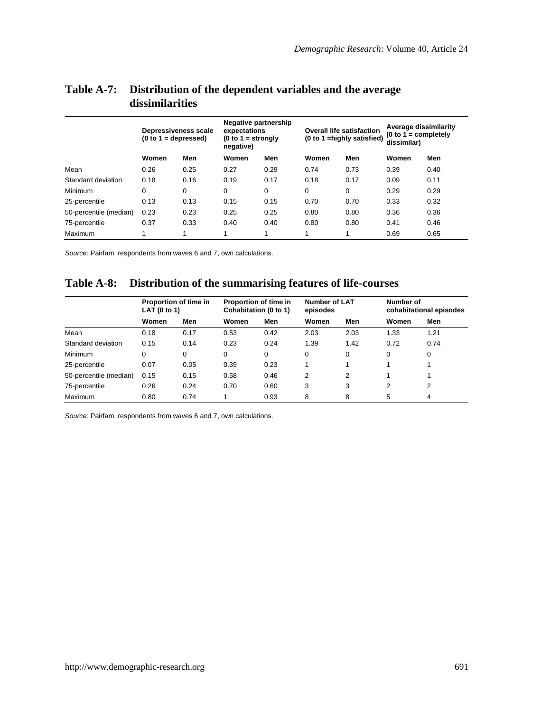|                        | Depressiveness scale<br>$(0 to 1 = depends)$ |      | Negative partnership<br>expectations<br>$(0 to 1 = strongly$<br>negative) |          | <b>Overall life satisfaction</b><br>(0 to 1 = highly satisfied) |      | Average dissimilarity<br>$(0 to 1 = completely)$<br>dissimilar) |      |
|------------------------|----------------------------------------------|------|---------------------------------------------------------------------------|----------|-----------------------------------------------------------------|------|-----------------------------------------------------------------|------|
|                        | Women                                        | Men  | Women                                                                     | Men      | Women                                                           | Men  | Women                                                           | Men  |
| Mean                   | 0.26                                         | 0.25 | 0.27                                                                      | 0.29     | 0.74                                                            | 0.73 | 0.39                                                            | 0.40 |
| Standard deviation     | 0.18                                         | 0.16 | 0.19                                                                      | 0.17     | 0.18                                                            | 0.17 | 0.09                                                            | 0.11 |
| Minimum                | 0                                            | 0    | 0                                                                         | $\Omega$ | $\Omega$                                                        | 0    | 0.29                                                            | 0.29 |
| 25-percentile          | 0.13                                         | 0.13 | 0.15                                                                      | 0.15     | 0.70                                                            | 0.70 | 0.33                                                            | 0.32 |
| 50-percentile (median) | 0.23                                         | 0.23 | 0.25                                                                      | 0.25     | 0.80                                                            | 0.80 | 0.36                                                            | 0.36 |
| 75-percentile          | 0.37                                         | 0.33 | 0.40                                                                      | 0.40     | 0.80                                                            | 0.80 | 0.41                                                            | 0.46 |
| Maximum                | 1                                            | 1    | 1                                                                         | 4        | 1                                                               | 4    | 0.69                                                            | 0.65 |

### **Table A-7: Distribution of the dependent variables and the average dissimilarities**

*Source:* Pairfam, respondents from waves 6 and 7, own calculations.

#### **Table A-8: Distribution of the summarising features of life-courses**

|                        | Proportion of time in<br>LAT (0 to 1) |      | Proportion of time in<br>Cohabitation (0 to 1) |          | <b>Number of LAT</b><br>episodes |                | Number of<br>cohabitational episodes |                |
|------------------------|---------------------------------------|------|------------------------------------------------|----------|----------------------------------|----------------|--------------------------------------|----------------|
|                        | Women                                 | Men  | Women                                          | Men      | Women                            | Men            | Women                                | Men            |
| Mean                   | 0.18                                  | 0.17 | 0.53                                           | 0.42     | 2.03                             | 2.03           | 1.33                                 | 1.21           |
| Standard deviation     | 0.15                                  | 0.14 | 0.23                                           | 0.24     | 1.39                             | 1.42           | 0.72                                 | 0.74           |
| Minimum                | 0                                     | 0    | $\Omega$                                       | $\Omega$ | 0                                | 0              | 0                                    | 0              |
| 25-percentile          | 0.07                                  | 0.05 | 0.39                                           | 0.23     |                                  |                |                                      |                |
| 50-percentile (median) | 0.15                                  | 0.15 | 0.58                                           | 0.46     | $\overline{2}$                   | $\overline{2}$ |                                      |                |
| 75-percentile          | 0.26                                  | 0.24 | 0.70                                           | 0.60     | 3                                | 3              | $\overline{2}$                       | $\overline{2}$ |
| Maximum                | 0.80                                  | 0.74 |                                                | 0.93     | 8                                | 8              | 5                                    | 4              |

*Source:* Pairfam, respondents from waves 6 and 7, own calculations.